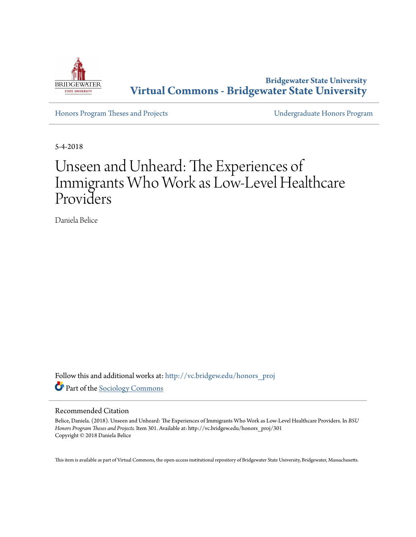

**Bridgewater State University [Virtual Commons - Bridgewater State University](http://vc.bridgew.edu?utm_source=vc.bridgew.edu%2Fhonors_proj%2F301&utm_medium=PDF&utm_campaign=PDFCoverPages)**

[Honors Program Theses and Projects](http://vc.bridgew.edu/honors_proj?utm_source=vc.bridgew.edu%2Fhonors_proj%2F301&utm_medium=PDF&utm_campaign=PDFCoverPages) [Undergraduate Honors Program](http://vc.bridgew.edu/honors?utm_source=vc.bridgew.edu%2Fhonors_proj%2F301&utm_medium=PDF&utm_campaign=PDFCoverPages)

5-4-2018

# Unseen and Unheard: The Experiences of Immigrants Who Work as Low-Level Healthcare Providers

Daniela Belice

Follow this and additional works at: [http://vc.bridgew.edu/honors\\_proj](http://vc.bridgew.edu/honors_proj?utm_source=vc.bridgew.edu%2Fhonors_proj%2F301&utm_medium=PDF&utm_campaign=PDFCoverPages) Part of the [Sociology Commons](http://network.bepress.com/hgg/discipline/416?utm_source=vc.bridgew.edu%2Fhonors_proj%2F301&utm_medium=PDF&utm_campaign=PDFCoverPages)

#### Recommended Citation

Belice, Daniela. (2018). Unseen and Unheard: The Experiences of Immigrants Who Work as Low-Level Healthcare Providers. In *BSU Honors Program Theses and Projects.* Item 301. Available at: http://vc.bridgew.edu/honors\_proj/301 Copyright © 2018 Daniela Belice

This item is available as part of Virtual Commons, the open-access institutional repository of Bridgewater State University, Bridgewater, Massachusetts.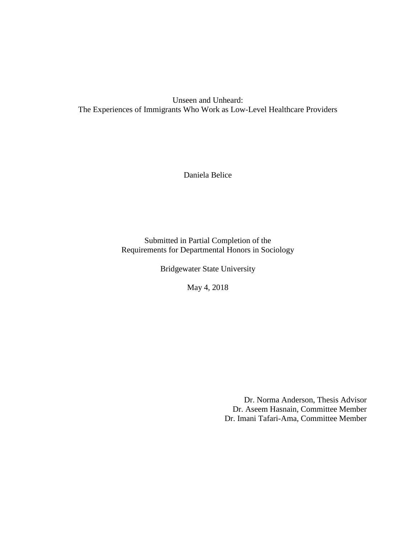Unseen and Unheard: The Experiences of Immigrants Who Work as Low-Level Healthcare Providers

Daniela Belice

Submitted in Partial Completion of the Requirements for Departmental Honors in Sociology

Bridgewater State University

May 4, 2018

Dr. Norma Anderson, Thesis Advisor Dr. Aseem Hasnain, Committee Member Dr. Imani Tafari-Ama, Committee Member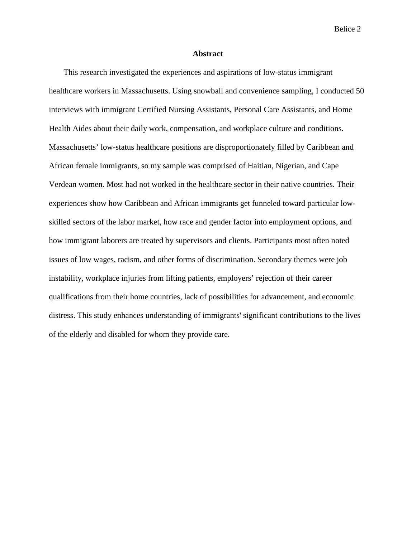#### **Abstract**

This research investigated the experiences and aspirations of low-status immigrant healthcare workers in Massachusetts. Using snowball and convenience sampling, I conducted 50 interviews with immigrant Certified Nursing Assistants, Personal Care Assistants, and Home Health Aides about their daily work, compensation, and workplace culture and conditions. Massachusetts' low-status healthcare positions are disproportionately filled by Caribbean and African female immigrants, so my sample was comprised of Haitian, Nigerian, and Cape Verdean women. Most had not worked in the healthcare sector in their native countries. Their experiences show how Caribbean and African immigrants get funneled toward particular lowskilled sectors of the labor market, how race and gender factor into employment options, and how immigrant laborers are treated by supervisors and clients. Participants most often noted issues of low wages, racism, and other forms of discrimination. Secondary themes were job instability, workplace injuries from lifting patients, employers' rejection of their career qualifications from their home countries, lack of possibilities for advancement, and economic distress. This study enhances understanding of immigrants' significant contributions to the lives of the elderly and disabled for whom they provide care.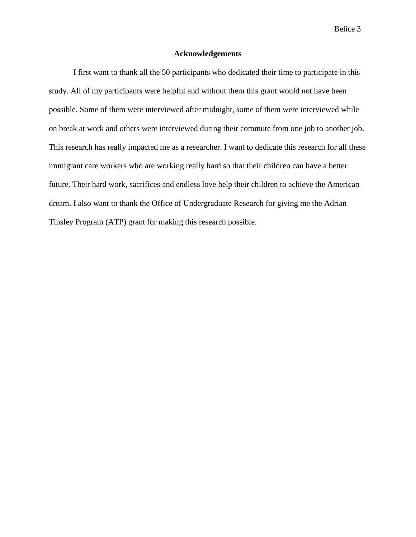#### **Acknowledgements**

I first want to thank all the 50 participants who dedicated their time to participate in this study. All of my participants were helpful and without them this grant would not have been possible. Some of them were interviewed after midnight, some of them were interviewed while on break at work and others were interviewed during their commute from one job to another job. This research has really impacted me as a researcher. I want to dedicate this research for all these immigrant care workers who are working really hard so that their children can have a better future. Their hard work, sacrifices and endless love help their children to achieve the American dream. I also want to thank the Office of Undergraduate Research for giving me the Adrian Tinsley Program (ATP) grant for making this research possible.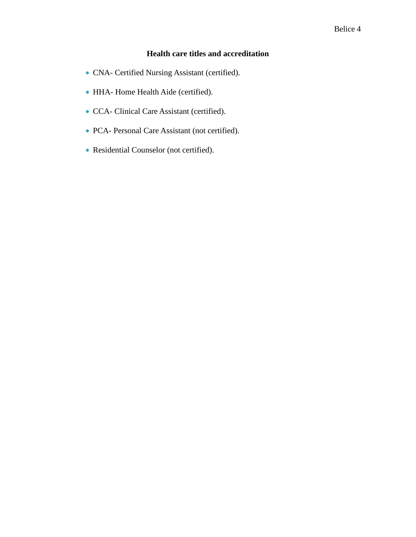### **Health care titles and accreditation**

- CNA- Certified Nursing Assistant (certified).
- HHA- Home Health Aide (certified).
- CCA- Clinical Care Assistant (certified).
- PCA- Personal Care Assistant (not certified).
- Residential Counselor (not certified).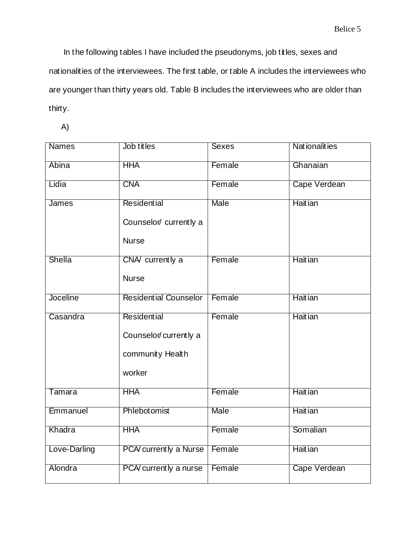In the following tables I have included the pseudonyms, job titles, sexes and nationalities of the interviewees. The first table, or table A includes the interviewees who are younger than thirty years old. Table B includes the interviewees who are older than thirty.

A)

| <b>Names</b>    | Job titles                   | <b>Sexes</b> | <b>Nationalities</b> |
|-----------------|------------------------------|--------------|----------------------|
| Abina           | <b>HHA</b>                   | Female       | Ghanaian             |
| Lidia           | <b>CNA</b>                   | Female       | Cape Verdean         |
| <b>James</b>    | Residential                  | <b>Male</b>  | <b>Haitian</b>       |
|                 | Counselor/ currently a       |              |                      |
|                 | <b>Nurse</b>                 |              |                      |
| <b>Shella</b>   | CNA/ currently a             | Female       | <b>Haitian</b>       |
|                 | <b>Nurse</b>                 |              |                      |
| <b>Joceline</b> | <b>Residential Counselor</b> | Female       | <b>Haitian</b>       |
| Casandra        | <b>Residential</b>           | Female       | <b>Haitian</b>       |
|                 | Counselor/currently a        |              |                      |
|                 | community Health             |              |                      |
|                 | worker                       |              |                      |
| Tamara          | <b>HHA</b>                   | Female       | <b>Haitian</b>       |
| Emmanuel        | Phlebotomist                 | Male         | <b>Haitian</b>       |
| Khadra          | <b>HHA</b>                   | Female       | Somalian             |
| Love-Darling    | PCA/currently a Nurse        | Female       | <b>Haitian</b>       |
| Alondra         | PCA/currently a nurse        | Female       | Cape Verdean         |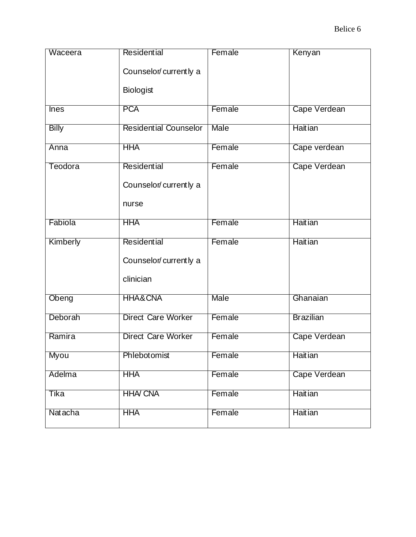| Waceera      | Residential<br>Counselor/currently a<br>Biologist    | Female | Kenyan           |
|--------------|------------------------------------------------------|--------|------------------|
| <b>Ines</b>  | <b>PCA</b>                                           | Female | Cape Verdean     |
| <b>Billy</b> | <b>Residential Counselor</b>                         | Male   | <b>Haitian</b>   |
| Anna         | <b>HHA</b>                                           | Female | Cape verdean     |
| Teodora      | <b>Residential</b><br>Counselor/currently a<br>nurse | Female | Cape Verdean     |
| Fabiola      | <b>HHA</b>                                           | Female | <b>Haitian</b>   |
| Kimberly     | Residential<br>Counselor/currently a<br>clinician    | Female | <b>Haitian</b>   |
| Obeng        | <b>HHA&amp;CNA</b>                                   | Male   | Ghanaian         |
| Deborah      | <b>Direct Care Worker</b>                            | Female | <b>Brazilian</b> |
| Ramira       | <b>Direct Care Worker</b>                            | Female | Cape Verdean     |
| Myou         | Phlebotomist                                         | Female | <b>Haitian</b>   |
| Adelma       | <b>HHA</b>                                           | Female | Cape Verdean     |
| Tika         | <b>HHA/ CNA</b>                                      | Female | <b>Haitian</b>   |
| Nat acha     | <b>HHA</b>                                           | Female | <b>Haitian</b>   |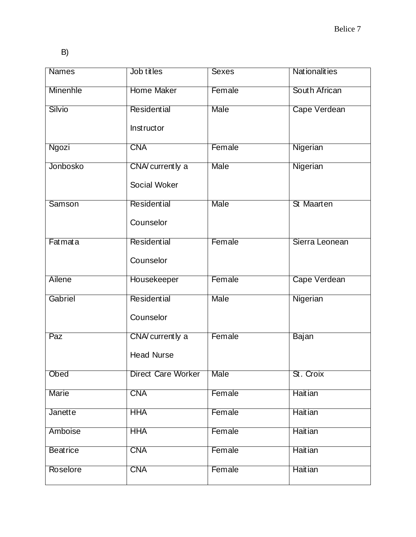B)

| <b>Names</b>    | Job titles         | <b>Sexes</b> | <b>Nationalities</b> |
|-----------------|--------------------|--------------|----------------------|
| <b>Minenhle</b> | <b>Home Maker</b>  | Female       | South African        |
| Silvio          | Residential        | <b>Male</b>  | Cape Verdean         |
|                 | <b>Instructor</b>  |              |                      |
| Ngozi           | <b>CNA</b>         | Female       | Nigerian             |
| Jonbosko        | CNA/ currently a   | <b>Male</b>  | Nigerian             |
|                 | Social Woker       |              |                      |
| <b>Samson</b>   | <b>Residential</b> | Male         | St Maarten           |
|                 | Counselor          |              |                      |
| Fatmata         | Residential        | Female       | Sierra Leonean       |
|                 | Counselor          |              |                      |
| Ailene          | Housekeeper        | Female       | Cape Verdean         |
| Gabriel         | Residential        | <b>Male</b>  | Nigerian             |
|                 | Counselor          |              |                      |
| Paz             | CNA/ currently a   | Female       | <b>Bajan</b>         |
|                 | <b>Head Nurse</b>  |              |                      |
| Obed            | Direct Care Worker | <b>Male</b>  | St. Croix            |
| <b>Marie</b>    | <b>CNA</b>         | Female       | <b>Haitian</b>       |
| Janette         | <b>HHA</b>         | Female       | <b>Haitian</b>       |
| Amboise         | <b>HHA</b>         | Female       | <b>Haitian</b>       |
| <b>Beatrice</b> | <b>CNA</b>         | Female       | <b>Haitian</b>       |
| Roselore        | <b>CNA</b>         | Female       | <b>Haitian</b>       |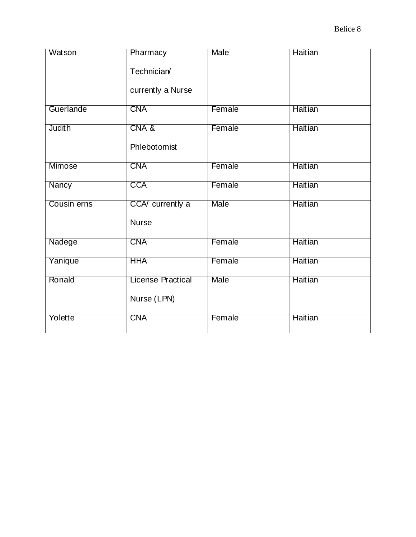| <b>Watson</b> | Pharmacy<br>Technician/<br>currently a Nurse | Male        | <b>Haitian</b> |
|---------------|----------------------------------------------|-------------|----------------|
| Guerlande     | <b>CNA</b>                                   | Female      | <b>Haitian</b> |
| <b>Judith</b> | CNA&<br>Phlebotomist                         | Female      | <b>Haitian</b> |
| Mimose        | <b>CNA</b>                                   | Female      | <b>Haitian</b> |
| <b>Nancy</b>  | <b>CCA</b>                                   | Female      | <b>Haitian</b> |
| Cousin erns   | CCA/ currently a<br><b>Nurse</b>             | <b>Male</b> | <b>Haitian</b> |
| Nadege        | <b>CNA</b>                                   | Female      | <b>Haitian</b> |
| Yanique       | <b>HHA</b>                                   | Female      | <b>Haitian</b> |
| Ronald        | <b>License Practical</b><br>Nurse (LPN)      | Male        | <b>Haitian</b> |
| Yolette       | <b>CNA</b>                                   | Female      | <b>Haitian</b> |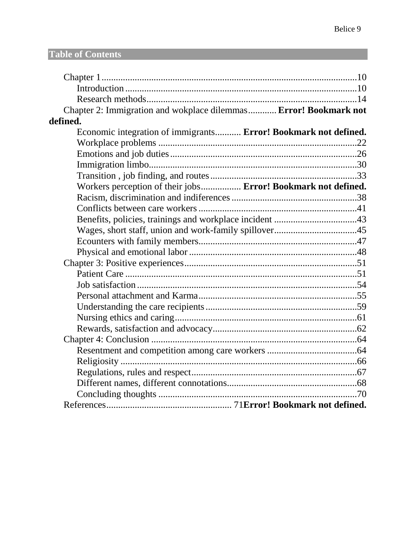## **Table of Contents**

| Chapter 2: Immigration and wokplace dilemmas Error! Bookmark not |  |
|------------------------------------------------------------------|--|
| defined.                                                         |  |
| Economic integration of immigrants Error! Bookmark not defined.  |  |
|                                                                  |  |
|                                                                  |  |
|                                                                  |  |
|                                                                  |  |
| Workers perception of their jobs Error! Bookmark not defined.    |  |
|                                                                  |  |
|                                                                  |  |
|                                                                  |  |
|                                                                  |  |
|                                                                  |  |
|                                                                  |  |
|                                                                  |  |
|                                                                  |  |
|                                                                  |  |
|                                                                  |  |
|                                                                  |  |
|                                                                  |  |
|                                                                  |  |
|                                                                  |  |
|                                                                  |  |
|                                                                  |  |
|                                                                  |  |
|                                                                  |  |
|                                                                  |  |
|                                                                  |  |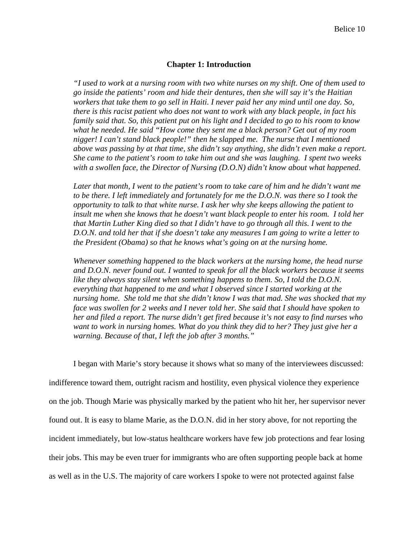#### **Chapter 1: Introduction**

*"I used to work at a nursing room with two white nurses on my shift. One of them used to go inside the patients' room and hide their dentures, then she will say it's the Haitian workers that take them to go sell in Haiti. I never paid her any mind until one day. So, there is this racist patient who does not want to work with any black people, in fact his family said that. So, this patient put on his light and I decided to go to his room to know what he needed. He said "How come they sent me a black person? Get out of my room nigger! I can't stand black people!" then he slapped me. The nurse that I mentioned above was passing by at that time, she didn't say anything, she didn't even make a report. She came to the patient's room to take him out and she was laughing. I spent two weeks with a swollen face, the Director of Nursing (D.O.N) didn't know about what happened.* 

Later that month, I went to the patient's room to take care of him and he didn't want me *to be there. I left immediately and fortunately for me the D.O.N. was there so I took the opportunity to talk to that white nurse. I ask her why she keeps allowing the patient to insult me when she knows that he doesn't want black people to enter his room. I told her that Martin Luther King died so that I didn't have to go through all this. I went to the D.O.N. and told her that if she doesn't take any measures I am going to write a letter to the President (Obama) so that he knows what's going on at the nursing home.* 

*Whenever something happened to the black workers at the nursing home, the head nurse and D.O.N. never found out. I wanted to speak for all the black workers because it seems like they always stay silent when something happens to them. So, I told the D.O.N. everything that happened to me and what I observed since I started working at the nursing home. She told me that she didn't know I was that mad. She was shocked that my face was swollen for 2 weeks and I never told her. She said that I should have spoken to her and filed a report. The nurse didn't get fired because it's not easy to find nurses who want to work in nursing homes. What do you think they did to her? They just give her a warning. Because of that, I left the job after 3 months."*

I began with Marie's story because it shows what so many of the interviewees discussed: indifference toward them, outright racism and hostility, even physical violence they experience on the job. Though Marie was physically marked by the patient who hit her, her supervisor never found out. It is easy to blame Marie, as the D.O.N. did in her story above, for not reporting the incident immediately, but low-status healthcare workers have few job protections and fear losing their jobs. This may be even truer for immigrants who are often supporting people back at home as well as in the U.S. The majority of care workers I spoke to were not protected against false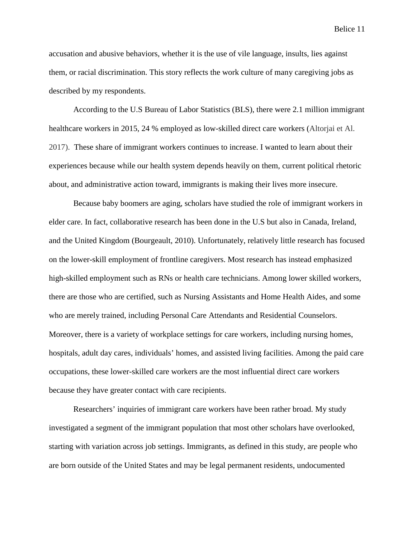accusation and abusive behaviors, whether it is the use of vile language, insults, lies against them, or racial discrimination. This story reflects the work culture of many caregiving jobs as described by my respondents.

According to the U.S Bureau of Labor Statistics (BLS), there were 2.1 million immigrant healthcare workers in 2015, 24 % employed as low-skilled direct care workers (Altorjai et Al. 2017). These share of immigrant workers continues to increase. I wanted to learn about their experiences because while our health system depends heavily on them, current political rhetoric about, and administrative action toward, immigrants is making their lives more insecure.

Because baby boomers are aging, scholars have studied the role of immigrant workers in elder care. In fact, collaborative research has been done in the U.S but also in Canada, Ireland, and the United Kingdom (Bourgeault, 2010). Unfortunately, relatively little research has focused on the lower-skill employment of frontline caregivers. Most research has instead emphasized high-skilled employment such as RNs or health care technicians. Among lower skilled workers, there are those who are certified, such as Nursing Assistants and Home Health Aides, and some who are merely trained, including Personal Care Attendants and Residential Counselors. Moreover, there is a variety of workplace settings for care workers, including nursing homes, hospitals, adult day cares, individuals' homes, and assisted living facilities. Among the paid care occupations, these lower-skilled care workers are the most influential direct care workers because they have greater contact with care recipients.

Researchers' inquiries of immigrant care workers have been rather broad. My study investigated a segment of the immigrant population that most other scholars have overlooked, starting with variation across job settings. Immigrants, as defined in this study, are people who are born outside of the United States and may be legal permanent residents, undocumented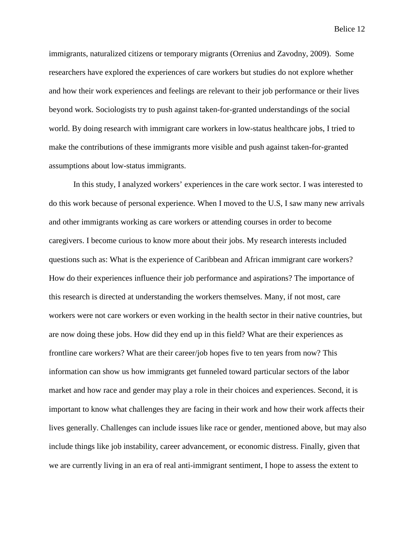immigrants, naturalized citizens or temporary migrants (Orrenius and Zavodny, 2009). Some researchers have explored the experiences of care workers but studies do not explore whether and how their work experiences and feelings are relevant to their job performance or their lives beyond work. Sociologists try to push against taken-for-granted understandings of the social world. By doing research with immigrant care workers in low-status healthcare jobs, I tried to make the contributions of these immigrants more visible and push against taken-for-granted assumptions about low-status immigrants.

In this study, I analyzed workers' experiences in the care work sector. I was interested to do this work because of personal experience. When I moved to the U.S, I saw many new arrivals and other immigrants working as care workers or attending courses in order to become caregivers. I become curious to know more about their jobs. My research interests included questions such as: What is the experience of Caribbean and African immigrant care workers? How do their experiences influence their job performance and aspirations? The importance of this research is directed at understanding the workers themselves. Many, if not most, care workers were not care workers or even working in the health sector in their native countries, but are now doing these jobs. How did they end up in this field? What are their experiences as frontline care workers? What are their career/job hopes five to ten years from now? This information can show us how immigrants get funneled toward particular sectors of the labor market and how race and gender may play a role in their choices and experiences. Second, it is important to know what challenges they are facing in their work and how their work affects their lives generally. Challenges can include issues like race or gender, mentioned above, but may also include things like job instability, career advancement, or economic distress. Finally, given that we are currently living in an era of real anti-immigrant sentiment, I hope to assess the extent to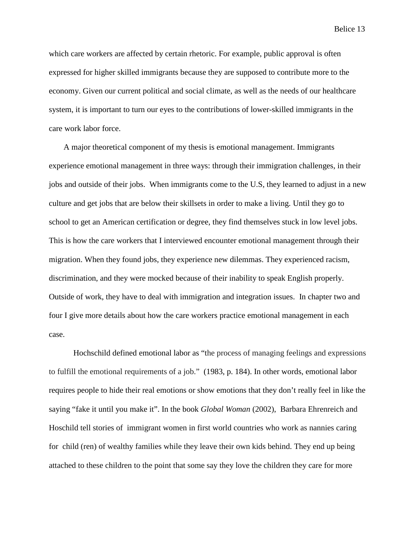which care workers are affected by certain rhetoric. For example, public approval is often expressed for higher skilled immigrants because they are supposed to contribute more to the economy. Given our current political and social climate, as well as the needs of our healthcare system, it is important to turn our eyes to the contributions of lower-skilled immigrants in the care work labor force.

A major theoretical component of my thesis is emotional management. Immigrants experience emotional management in three ways: through their immigration challenges, in their jobs and outside of their jobs. When immigrants come to the U.S, they learned to adjust in a new culture and get jobs that are below their skillsets in order to make a living. Until they go to school to get an American certification or degree, they find themselves stuck in low level jobs. This is how the care workers that I interviewed encounter emotional management through their migration. When they found jobs, they experience new dilemmas. They experienced racism, discrimination, and they were mocked because of their inability to speak English properly. Outside of work, they have to deal with immigration and integration issues. In chapter two and four I give more details about how the care workers practice emotional management in each case.

Hochschild defined emotional labor as "the process of managing feelings and expressions to fulfill the emotional requirements of a job." (1983, p. 184). In other words, emotional labor requires people to hide their real emotions or show emotions that they don't really feel in like the saying "fake it until you make it". In the book *Global Woman* (2002), Barbara Ehrenreich and Hoschild tell stories of immigrant women in first world countries who work as nannies caring for child (ren) of wealthy families while they leave their own kids behind. They end up being attached to these children to the point that some say they love the children they care for more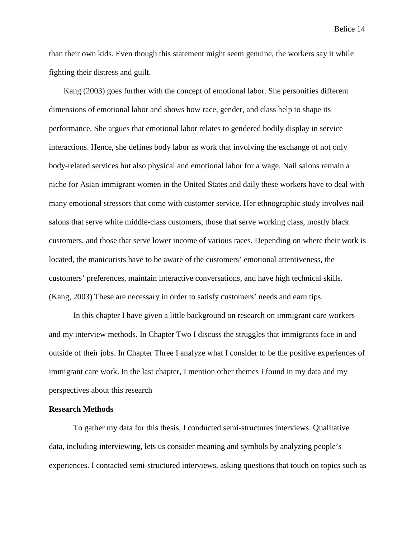than their own kids. Even though this statement might seem genuine, the workers say it while fighting their distress and guilt.

Kang (2003) goes further with the concept of emotional labor. She personifies different dimensions of emotional labor and shows how race, gender, and class help to shape its performance. She argues that emotional labor relates to gendered bodily display in service interactions. Hence, she defines body labor as work that involving the exchange of not only body-related services but also physical and emotional labor for a wage. Nail salons remain a niche for Asian immigrant women in the United States and daily these workers have to deal with many emotional stressors that come with customer service. Her ethnographic study involves nail salons that serve white middle-class customers, those that serve working class, mostly black customers, and those that serve lower income of various races. Depending on where their work is located, the manicurists have to be aware of the customers' emotional attentiveness, the customers' preferences, maintain interactive conversations, and have high technical skills. (Kang, 2003) These are necessary in order to satisfy customers' needs and earn tips.

In this chapter I have given a little background on research on immigrant care workers and my interview methods. In Chapter Two I discuss the struggles that immigrants face in and outside of their jobs. In Chapter Three I analyze what I consider to be the positive experiences of immigrant care work. In the last chapter, I mention other themes I found in my data and my perspectives about this research

#### **Research Methods**

To gather my data for this thesis, I conducted semi-structures interviews. Qualitative data, including interviewing, lets us consider meaning and symbols by analyzing people's experiences. I contacted semi-structured interviews, asking questions that touch on topics such as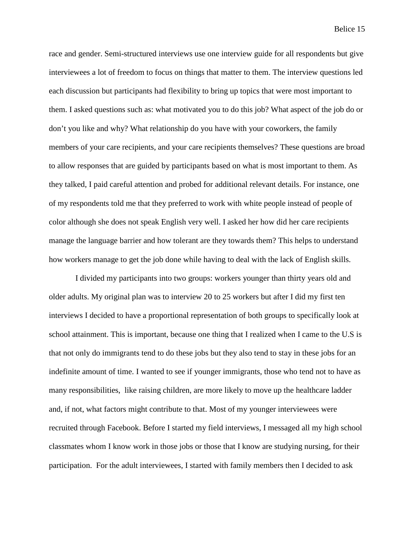race and gender. Semi-structured interviews use one interview guide for all respondents but give interviewees a lot of freedom to focus on things that matter to them. The interview questions led each discussion but participants had flexibility to bring up topics that were most important to them. I asked questions such as: what motivated you to do this job? What aspect of the job do or don't you like and why? What relationship do you have with your coworkers, the family members of your care recipients, and your care recipients themselves? These questions are broad to allow responses that are guided by participants based on what is most important to them. As they talked, I paid careful attention and probed for additional relevant details. For instance, one of my respondents told me that they preferred to work with white people instead of people of color although she does not speak English very well. I asked her how did her care recipients manage the language barrier and how tolerant are they towards them? This helps to understand how workers manage to get the job done while having to deal with the lack of English skills.

I divided my participants into two groups: workers younger than thirty years old and older adults. My original plan was to interview 20 to 25 workers but after I did my first ten interviews I decided to have a proportional representation of both groups to specifically look at school attainment. This is important, because one thing that I realized when I came to the U.S is that not only do immigrants tend to do these jobs but they also tend to stay in these jobs for an indefinite amount of time. I wanted to see if younger immigrants, those who tend not to have as many responsibilities, like raising children, are more likely to move up the healthcare ladder and, if not, what factors might contribute to that. Most of my younger interviewees were recruited through Facebook. Before I started my field interviews, I messaged all my high school classmates whom I know work in those jobs or those that I know are studying nursing, for their participation. For the adult interviewees, I started with family members then I decided to ask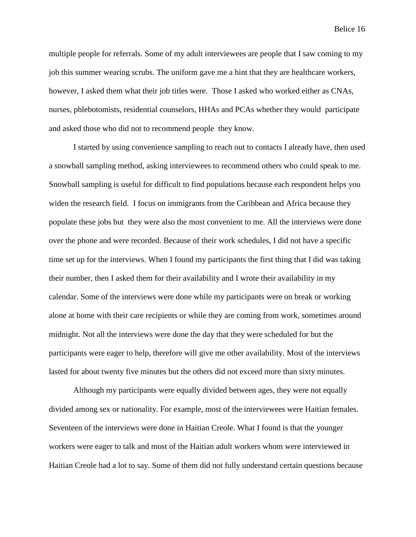multiple people for referrals. Some of my adult interviewees are people that I saw coming to my job this summer wearing scrubs. The uniform gave me a hint that they are healthcare workers, however, I asked them what their job titles were. Those I asked who worked either as CNAs, nurses, phlebotomists, residential counselors, HHAs and PCAs whether they would participate and asked those who did not to recommend people they know.

I started by using convenience sampling to reach out to contacts I already have, then used a snowball sampling method, asking interviewees to recommend others who could speak to me. Snowball sampling is useful for difficult to find populations because each respondent helps you widen the research field. I focus on immigrants from the Caribbean and Africa because they populate these jobs but they were also the most convenient to me. All the interviews were done over the phone and were recorded. Because of their work schedules, I did not have a specific time set up for the interviews. When I found my participants the first thing that I did was taking their number, then I asked them for their availability and I wrote their availability in my calendar. Some of the interviews were done while my participants were on break or working alone at home with their care recipients or while they are coming from work, sometimes around midnight. Not all the interviews were done the day that they were scheduled for but the participants were eager to help, therefore will give me other availability. Most of the interviews lasted for about twenty five minutes but the others did not exceed more than sixty minutes.

Although my participants were equally divided between ages, they were not equally divided among sex or nationality. For example, most of the interviewees were Haitian females. Seventeen of the interviews were done in Haitian Creole. What I found is that the younger workers were eager to talk and most of the Haitian adult workers whom were interviewed in Haitian Creole had a lot to say. Some of them did not fully understand certain questions because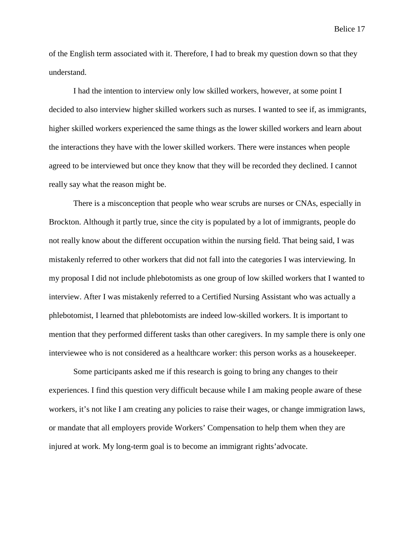of the English term associated with it. Therefore, I had to break my question down so that they understand.

I had the intention to interview only low skilled workers, however, at some point I decided to also interview higher skilled workers such as nurses. I wanted to see if, as immigrants, higher skilled workers experienced the same things as the lower skilled workers and learn about the interactions they have with the lower skilled workers. There were instances when people agreed to be interviewed but once they know that they will be recorded they declined. I cannot really say what the reason might be.

There is a misconception that people who wear scrubs are nurses or CNAs, especially in Brockton. Although it partly true, since the city is populated by a lot of immigrants, people do not really know about the different occupation within the nursing field. That being said, I was mistakenly referred to other workers that did not fall into the categories I was interviewing. In my proposal I did not include phlebotomists as one group of low skilled workers that I wanted to interview. After I was mistakenly referred to a Certified Nursing Assistant who was actually a phlebotomist, I learned that phlebotomists are indeed low-skilled workers. It is important to mention that they performed different tasks than other caregivers. In my sample there is only one interviewee who is not considered as a healthcare worker: this person works as a housekeeper.

Some participants asked me if this research is going to bring any changes to their experiences. I find this question very difficult because while I am making people aware of these workers, it's not like I am creating any policies to raise their wages, or change immigration laws, or mandate that all employers provide Workers' Compensation to help them when they are injured at work. My long-term goal is to become an immigrant rights'advocate.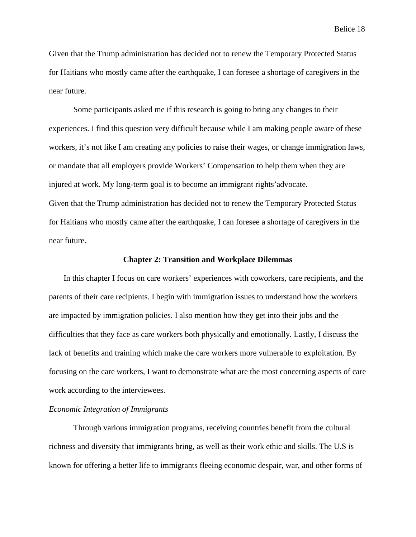Given that the Trump administration has decided not to renew the Temporary Protected Status for Haitians who mostly came after the earthquake, I can foresee a shortage of caregivers in the near future.

Some participants asked me if this research is going to bring any changes to their experiences. I find this question very difficult because while I am making people aware of these workers, it's not like I am creating any policies to raise their wages, or change immigration laws, or mandate that all employers provide Workers' Compensation to help them when they are injured at work. My long-term goal is to become an immigrant rights'advocate. Given that the Trump administration has decided not to renew the Temporary Protected Status for Haitians who mostly came after the earthquake, I can foresee a shortage of caregivers in the near future.

#### **Chapter 2: Transition and Workplace Dilemmas**

In this chapter I focus on care workers' experiences with coworkers, care recipients, and the parents of their care recipients. I begin with immigration issues to understand how the workers are impacted by immigration policies. I also mention how they get into their jobs and the difficulties that they face as care workers both physically and emotionally. Lastly, I discuss the lack of benefits and training which make the care workers more vulnerable to exploitation. By focusing on the care workers, I want to demonstrate what are the most concerning aspects of care work according to the interviewees.

#### *Economic Integration of Immigrants*

Through various immigration programs, receiving countries benefit from the cultural richness and diversity that immigrants bring, as well as their work ethic and skills. The U.S is known for offering a better life to immigrants fleeing economic despair, war, and other forms of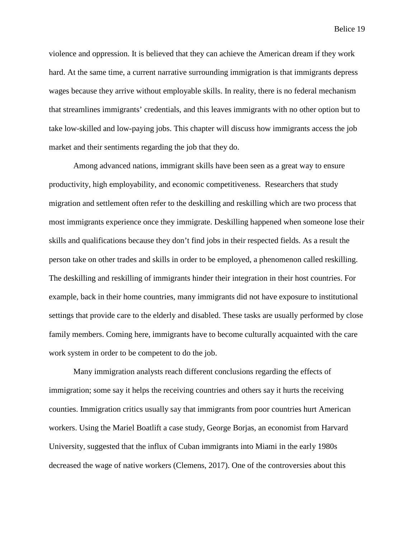violence and oppression. It is believed that they can achieve the American dream if they work hard. At the same time, a current narrative surrounding immigration is that immigrants depress wages because they arrive without employable skills. In reality, there is no federal mechanism that streamlines immigrants' credentials, and this leaves immigrants with no other option but to take low-skilled and low-paying jobs. This chapter will discuss how immigrants access the job market and their sentiments regarding the job that they do.

Among advanced nations, immigrant skills have been seen as a great way to ensure productivity, high employability, and economic competitiveness. Researchers that study migration and settlement often refer to the deskilling and reskilling which are two process that most immigrants experience once they immigrate. Deskilling happened when someone lose their skills and qualifications because they don't find jobs in their respected fields. As a result the person take on other trades and skills in order to be employed, a phenomenon called reskilling. The deskilling and reskilling of immigrants hinder their integration in their host countries. For example, back in their home countries, many immigrants did not have exposure to institutional settings that provide care to the elderly and disabled. These tasks are usually performed by close family members. Coming here, immigrants have to become culturally acquainted with the care work system in order to be competent to do the job.

Many immigration analysts reach different conclusions regarding the effects of immigration; some say it helps the receiving countries and others say it hurts the receiving counties. Immigration critics usually say that immigrants from poor countries hurt American workers. Using the Mariel Boatlift a case study, George Borjas, an economist from Harvard University, suggested that the influx of Cuban immigrants into Miami in the early 1980s decreased the wage of native workers (Clemens, 2017). One of the controversies about this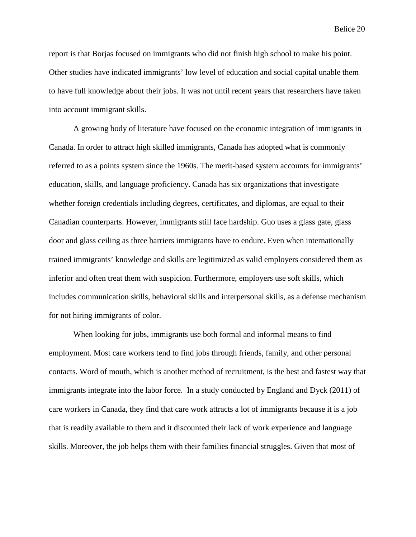report is that Borjas focused on immigrants who did not finish high school to make his point. Other studies have indicated immigrants' low level of education and social capital unable them to have full knowledge about their jobs. It was not until recent years that researchers have taken into account immigrant skills.

A growing body of literature have focused on the economic integration of immigrants in Canada. In order to attract high skilled immigrants, Canada has adopted what is commonly referred to as a points system since the 1960s. The merit-based system accounts for immigrants' education, skills, and language proficiency. Canada has six organizations that investigate whether foreign credentials including degrees, certificates, and diplomas, are equal to their Canadian counterparts. However, immigrants still face hardship. Guo uses a glass gate, glass door and glass ceiling as three barriers immigrants have to endure. Even when internationally trained immigrants' knowledge and skills are legitimized as valid employers considered them as inferior and often treat them with suspicion. Furthermore, employers use soft skills, which includes communication skills, behavioral skills and interpersonal skills, as a defense mechanism for not hiring immigrants of color.

When looking for jobs, immigrants use both formal and informal means to find employment. Most care workers tend to find jobs through friends, family, and other personal contacts. Word of mouth, which is another method of recruitment, is the best and fastest way that immigrants integrate into the labor force. In a study conducted by England and Dyck (2011) of care workers in Canada, they find that care work attracts a lot of immigrants because it is a job that is readily available to them and it discounted their lack of work experience and language skills. Moreover, the job helps them with their families financial struggles. Given that most of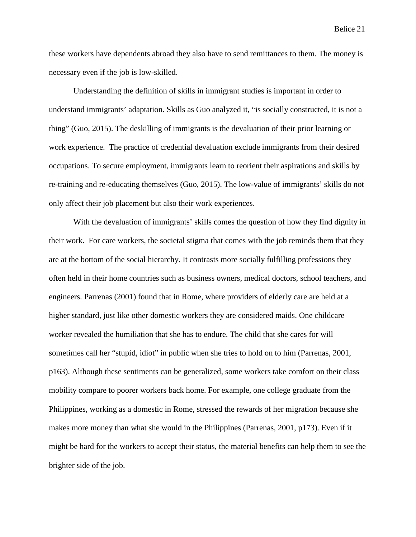these workers have dependents abroad they also have to send remittances to them. The money is necessary even if the job is low-skilled.

Understanding the definition of skills in immigrant studies is important in order to understand immigrants' adaptation. Skills as Guo analyzed it, "is socially constructed, it is not a thing" (Guo, 2015). The deskilling of immigrants is the devaluation of their prior learning or work experience. The practice of credential devaluation exclude immigrants from their desired occupations. To secure employment, immigrants learn to reorient their aspirations and skills by re-training and re-educating themselves (Guo, 2015). The low-value of immigrants' skills do not only affect their job placement but also their work experiences.

With the devaluation of immigrants' skills comes the question of how they find dignity in their work. For care workers, the societal stigma that comes with the job reminds them that they are at the bottom of the social hierarchy. It contrasts more socially fulfilling professions they often held in their home countries such as business owners, medical doctors, school teachers, and engineers. Parrenas (2001) found that in Rome, where providers of elderly care are held at a higher standard, just like other domestic workers they are considered maids. One childcare worker revealed the humiliation that she has to endure. The child that she cares for will sometimes call her "stupid, idiot" in public when she tries to hold on to him (Parrenas, 2001, p163). Although these sentiments can be generalized, some workers take comfort on their class mobility compare to poorer workers back home. For example, one college graduate from the Philippines, working as a domestic in Rome, stressed the rewards of her migration because she makes more money than what she would in the Philippines (Parrenas, 2001, p173). Even if it might be hard for the workers to accept their status, the material benefits can help them to see the brighter side of the job.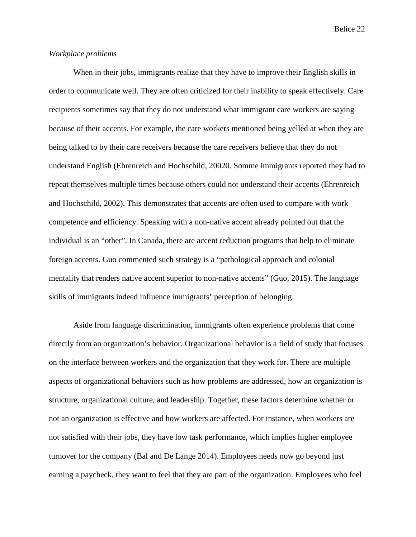#### *Workplace problems*

When in their jobs, immigrants realize that they have to improve their English skills in order to communicate well. They are often criticized for their inability to speak effectively. Care recipients sometimes say that they do not understand what immigrant care workers are saying because of their accents. For example, the care workers mentioned being yelled at when they are being talked to by their care receivers because the care receivers believe that they do not understand English (Ehrenreich and Hochschild, 20020. Somme immigrants reported they had to repeat themselves multiple times because others could not understand their accents (Ehrenreich and Hochschild, 2002). This demonstrates that accents are often used to compare with work competence and efficiency. Speaking with a non-native accent already pointed out that the individual is an "other". In Canada, there are accent reduction programs that help to eliminate foreign accents. Guo commented such strategy is a "pathological approach and colonial mentality that renders native accent superior to non-native accents" (Guo, 2015). The language skills of immigrants indeed influence immigrants' perception of belonging.

Aside from language discrimination, immigrants often experience problems that come directly from an organization's behavior. Organizational behavior is a field of study that focuses on the interface between workers and the organization that they work for. There are multiple aspects of organizational behaviors such as how problems are addressed, how an organization is structure, organizational culture, and leadership. Together, these factors determine whether or not an organization is effective and how workers are affected. For instance, when workers are not satisfied with their jobs, they have low task performance, which implies higher employee turnover for the company (Bal and De Lange 2014). Employees needs now go beyond just earning a paycheck, they want to feel that they are part of the organization. Employees who feel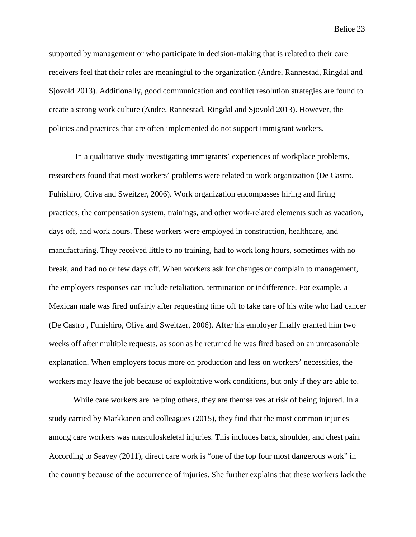supported by management or who participate in decision-making that is related to their care receivers feel that their roles are meaningful to the organization (Andre, Rannestad, Ringdal and Sjovold 2013). Additionally, good communication and conflict resolution strategies are found to create a strong work culture (Andre, Rannestad, Ringdal and Sjovold 2013). However, the policies and practices that are often implemented do not support immigrant workers.

In a qualitative study investigating immigrants' experiences of workplace problems, researchers found that most workers' problems were related to work organization (De Castro, Fuhishiro, Oliva and Sweitzer, 2006). Work organization encompasses hiring and firing practices, the compensation system, trainings, and other work-related elements such as vacation, days off, and work hours. These workers were employed in construction, healthcare, and manufacturing. They received little to no training, had to work long hours, sometimes with no break, and had no or few days off. When workers ask for changes or complain to management, the employers responses can include retaliation, termination or indifference. For example, a Mexican male was fired unfairly after requesting time off to take care of his wife who had cancer (De Castro , Fuhishiro, Oliva and Sweitzer, 2006). After his employer finally granted him two weeks off after multiple requests, as soon as he returned he was fired based on an unreasonable explanation. When employers focus more on production and less on workers' necessities, the workers may leave the job because of exploitative work conditions, but only if they are able to.

While care workers are helping others, they are themselves at risk of being injured. In a study carried by Markkanen and colleagues (2015), they find that the most common injuries among care workers was musculoskeletal injuries. This includes back, shoulder, and chest pain. According to Seavey (2011), direct care work is "one of the top four most dangerous work" in the country because of the occurrence of injuries. She further explains that these workers lack the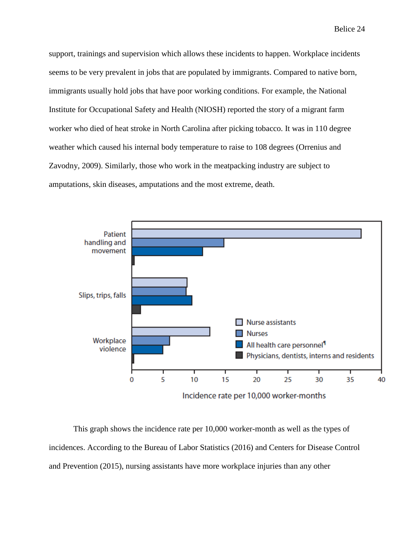support, trainings and supervision which allows these incidents to happen. Workplace incidents seems to be very prevalent in jobs that are populated by immigrants. Compared to native born, immigrants usually hold jobs that have poor working conditions. For example, the National Institute for Occupational Safety and Health (NIOSH) reported the story of a migrant farm worker who died of heat stroke in North Carolina after picking tobacco. It was in 110 degree weather which caused his internal body temperature to raise to 108 degrees (Orrenius and Zavodny, 2009). Similarly, those who work in the meatpacking industry are subject to amputations, skin diseases, amputations and the most extreme, death.



This graph shows the incidence rate per 10,000 worker-month as well as the types of incidences. According to the Bureau of Labor Statistics (2016) and Centers for Disease Control and Prevention (2015), nursing assistants have more workplace injuries than any other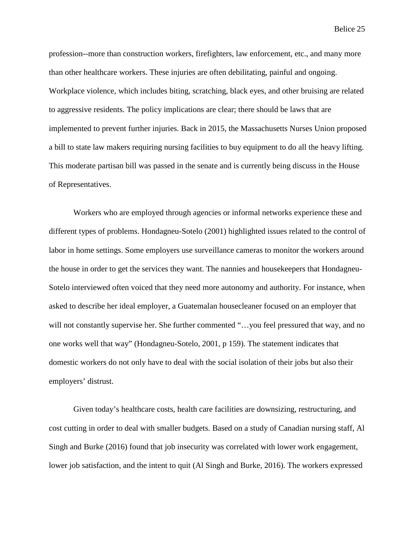profession--more than construction workers, firefighters, law enforcement, etc., and many more than other healthcare workers. These injuries are often debilitating, painful and ongoing. Workplace violence, which includes biting, scratching, black eyes, and other bruising are related to aggressive residents. The policy implications are clear; there should be laws that are implemented to prevent further injuries. Back in 2015, the Massachusetts Nurses Union proposed a bill to state law makers requiring nursing facilities to buy equipment to do all the heavy lifting. This moderate partisan bill was passed in the senate and is currently being discuss in the House of Representatives.

Workers who are employed through agencies or informal networks experience these and different types of problems. Hondagneu-Sotelo (2001) highlighted issues related to the control of labor in home settings. Some employers use surveillance cameras to monitor the workers around the house in order to get the services they want. The nannies and housekeepers that Hondagneu-Sotelo interviewed often voiced that they need more autonomy and authority. For instance, when asked to describe her ideal employer, a Guatemalan housecleaner focused on an employer that will not constantly supervise her. She further commented "...you feel pressured that way, and no one works well that way" (Hondagneu-Sotelo, 2001, p 159). The statement indicates that domestic workers do not only have to deal with the social isolation of their jobs but also their employers' distrust.

Given today's healthcare costs, health care facilities are downsizing, restructuring, and cost cutting in order to deal with smaller budgets. Based on a study of Canadian nursing staff, Al Singh and Burke (2016) found that job insecurity was correlated with lower work engagement, lower job satisfaction, and the intent to quit (Al Singh and Burke, 2016). The workers expressed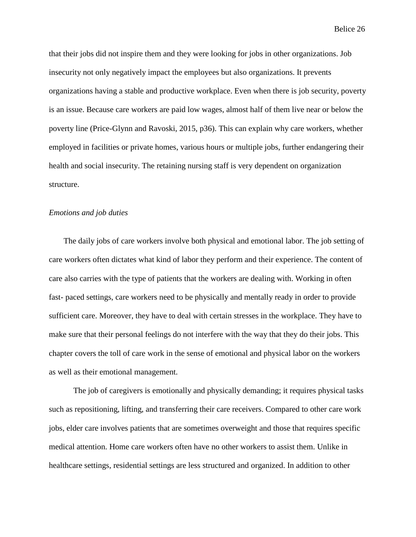that their jobs did not inspire them and they were looking for jobs in other organizations. Job insecurity not only negatively impact the employees but also organizations. It prevents organizations having a stable and productive workplace. Even when there is job security, poverty is an issue. Because care workers are paid low wages, almost half of them live near or below the poverty line (Price-Glynn and Ravoski, 2015, p36). This can explain why care workers, whether employed in facilities or private homes, various hours or multiple jobs, further endangering their health and social insecurity. The retaining nursing staff is very dependent on organization structure.

#### *Emotions and job duties*

The daily jobs of care workers involve both physical and emotional labor. The job setting of care workers often dictates what kind of labor they perform and their experience. The content of care also carries with the type of patients that the workers are dealing with. Working in often fast- paced settings, care workers need to be physically and mentally ready in order to provide sufficient care. Moreover, they have to deal with certain stresses in the workplace. They have to make sure that their personal feelings do not interfere with the way that they do their jobs. This chapter covers the toll of care work in the sense of emotional and physical labor on the workers as well as their emotional management.

The job of caregivers is emotionally and physically demanding; it requires physical tasks such as repositioning, lifting, and transferring their care receivers. Compared to other care work jobs, elder care involves patients that are sometimes overweight and those that requires specific medical attention. Home care workers often have no other workers to assist them. Unlike in healthcare settings, residential settings are less structured and organized. In addition to other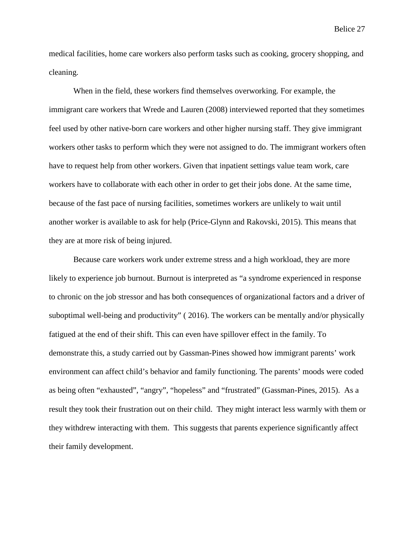medical facilities, home care workers also perform tasks such as cooking, grocery shopping, and cleaning.

When in the field, these workers find themselves overworking. For example, the immigrant care workers that Wrede and Lauren (2008) interviewed reported that they sometimes feel used by other native-born care workers and other higher nursing staff. They give immigrant workers other tasks to perform which they were not assigned to do. The immigrant workers often have to request help from other workers. Given that inpatient settings value team work, care workers have to collaborate with each other in order to get their jobs done. At the same time, because of the fast pace of nursing facilities, sometimes workers are unlikely to wait until another worker is available to ask for help (Price-Glynn and Rakovski, 2015). This means that they are at more risk of being injured.

Because care workers work under extreme stress and a high workload, they are more likely to experience job burnout. Burnout is interpreted as "a syndrome experienced in response to chronic on the job stressor and has both consequences of organizational factors and a driver of suboptimal well-being and productivity" ( 2016). The workers can be mentally and/or physically fatigued at the end of their shift. This can even have spillover effect in the family. To demonstrate this, a study carried out by Gassman-Pines showed how immigrant parents' work environment can affect child's behavior and family functioning. The parents' moods were coded as being often "exhausted", "angry", "hopeless" and "frustrated" (Gassman-Pines, 2015). As a result they took their frustration out on their child. They might interact less warmly with them or they withdrew interacting with them. This suggests that parents experience significantly affect their family development.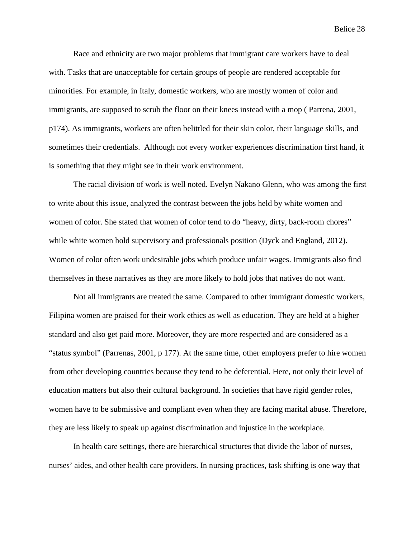Race and ethnicity are two major problems that immigrant care workers have to deal with. Tasks that are unacceptable for certain groups of people are rendered acceptable for minorities. For example, in Italy, domestic workers, who are mostly women of color and immigrants, are supposed to scrub the floor on their knees instead with a mop ( Parrena, 2001, p174). As immigrants, workers are often belittled for their skin color, their language skills, and sometimes their credentials. Although not every worker experiences discrimination first hand, it is something that they might see in their work environment.

The racial division of work is well noted. Evelyn Nakano Glenn, who was among the first to write about this issue, analyzed the contrast between the jobs held by white women and women of color. She stated that women of color tend to do "heavy, dirty, back-room chores" while white women hold supervisory and professionals position (Dyck and England, 2012). Women of color often work undesirable jobs which produce unfair wages. Immigrants also find themselves in these narratives as they are more likely to hold jobs that natives do not want.

Not all immigrants are treated the same. Compared to other immigrant domestic workers, Filipina women are praised for their work ethics as well as education. They are held at a higher standard and also get paid more. Moreover, they are more respected and are considered as a "status symbol" (Parrenas, 2001, p 177). At the same time, other employers prefer to hire women from other developing countries because they tend to be deferential. Here, not only their level of education matters but also their cultural background. In societies that have rigid gender roles, women have to be submissive and compliant even when they are facing marital abuse. Therefore, they are less likely to speak up against discrimination and injustice in the workplace.

In health care settings, there are hierarchical structures that divide the labor of nurses, nurses' aides, and other health care providers. In nursing practices, task shifting is one way that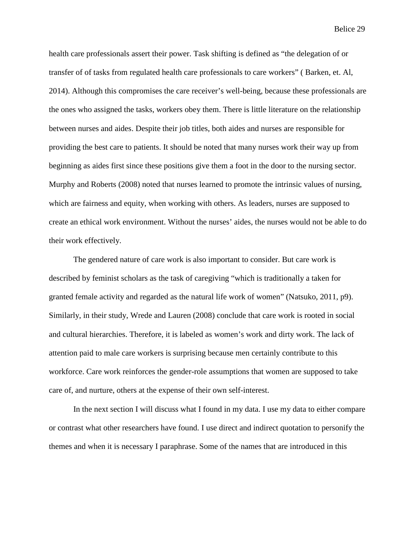health care professionals assert their power. Task shifting is defined as "the delegation of or transfer of of tasks from regulated health care professionals to care workers" ( Barken, et. Al, 2014). Although this compromises the care receiver's well-being, because these professionals are the ones who assigned the tasks, workers obey them. There is little literature on the relationship between nurses and aides. Despite their job titles, both aides and nurses are responsible for providing the best care to patients. It should be noted that many nurses work their way up from beginning as aides first since these positions give them a foot in the door to the nursing sector. Murphy and Roberts (2008) noted that nurses learned to promote the intrinsic values of nursing, which are fairness and equity, when working with others. As leaders, nurses are supposed to create an ethical work environment. Without the nurses' aides, the nurses would not be able to do their work effectively.

The gendered nature of care work is also important to consider. But care work is described by feminist scholars as the task of caregiving "which is traditionally a taken for granted female activity and regarded as the natural life work of women" (Natsuko, 2011, p9). Similarly, in their study, Wrede and Lauren (2008) conclude that care work is rooted in social and cultural hierarchies. Therefore, it is labeled as women's work and dirty work. The lack of attention paid to male care workers is surprising because men certainly contribute to this workforce. Care work reinforces the gender-role assumptions that women are supposed to take care of, and nurture, others at the expense of their own self-interest.

In the next section I will discuss what I found in my data. I use my data to either compare or contrast what other researchers have found. I use direct and indirect quotation to personify the themes and when it is necessary I paraphrase. Some of the names that are introduced in this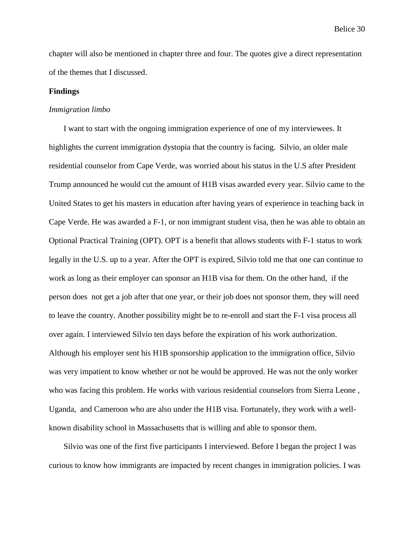chapter will also be mentioned in chapter three and four. The quotes give a direct representation of the themes that I discussed.

#### **Findings**

#### *Immigration limbo*

I want to start with the ongoing immigration experience of one of my interviewees. It highlights the current immigration dystopia that the country is facing. Silvio, an older male residential counselor from Cape Verde, was worried about his status in the U.S after President Trump announced he would cut the amount of H1B visas awarded every year. Silvio came to the United States to get his masters in education after having years of experience in teaching back in Cape Verde. He was awarded a F-1, or non immigrant student visa, then he was able to obtain an Optional Practical Training (OPT). OPT is a benefit that allows students with F-1 status to work legally in the U.S. up to a year. After the OPT is expired, Silvio told me that one can continue to work as long as their employer can sponsor an H1B visa for them. On the other hand, if the person does not get a job after that one year, or their job does not sponsor them, they will need to leave the country. Another possibility might be to re-enroll and start the F-1 visa process all over again. I interviewed Silvio ten days before the expiration of his work authorization. Although his employer sent his H1B sponsorship application to the immigration office, Silvio was very impatient to know whether or not he would be approved. He was not the only worker who was facing this problem. He works with various residential counselors from Sierra Leone , Uganda, and Cameroon who are also under the H1B visa. Fortunately, they work with a wellknown disability school in Massachusetts that is willing and able to sponsor them.

Silvio was one of the first five participants I interviewed. Before I began the project I was curious to know how immigrants are impacted by recent changes in immigration policies. I was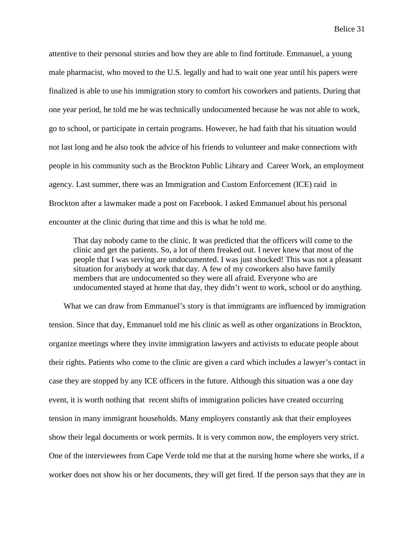attentive to their personal stories and how they are able to find fortitude. Emmanuel, a young male pharmacist, who moved to the U.S. legally and had to wait one year until his papers were finalized is able to use his immigration story to comfort his coworkers and patients. During that one year period, he told me he was technically undocumented because he was not able to work, go to school, or participate in certain programs. However, he had faith that his situation would not last long and he also took the advice of his friends to volunteer and make connections with people in his community such as the Brockton Public Library and Career Work, an employment agency. Last summer, there was an Immigration and Custom Enforcement (ICE) raid in Brockton after a lawmaker made a post on Facebook. I asked Emmanuel about his personal encounter at the clinic during that time and this is what he told me.

That day nobody came to the clinic. It was predicted that the officers will come to the clinic and get the patients. So, a lot of them freaked out. I never knew that most of the people that I was serving are undocumented. I was just shocked! This was not a pleasant situation for anybody at work that day. A few of my coworkers also have family members that are undocumented so they were all afraid. Everyone who are undocumented stayed at home that day, they didn't went to work, school or do anything.

What we can draw from Emmanuel's story is that immigrants are influenced by immigration tension. Since that day, Emmanuel told me his clinic as well as other organizations in Brockton, organize meetings where they invite immigration lawyers and activists to educate people about their rights. Patients who come to the clinic are given a card which includes a lawyer's contact in case they are stopped by any ICE officers in the future. Although this situation was a one day event, it is worth nothing that recent shifts of immigration policies have created occurring tension in many immigrant households. Many employers constantly ask that their employees show their legal documents or work permits. It is very common now, the employers very strict. One of the interviewees from Cape Verde told me that at the nursing home where she works, if a worker does not show his or her documents, they will get fired. If the person says that they are in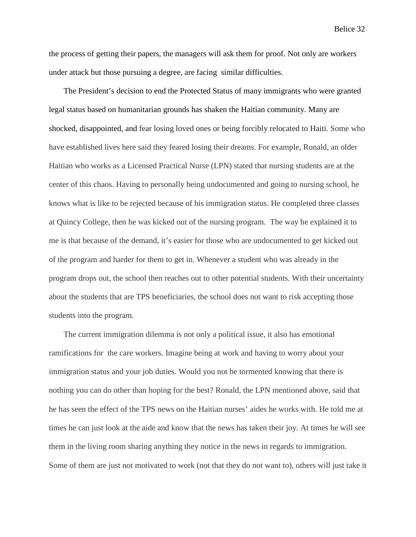the process of getting their papers, the managers will ask them for proof. Not only are workers under attack but those pursuing a degree, are facing similar difficulties.

The President's decision to end the Protected Status of many immigrants who were granted legal status based on humanitarian grounds has shaken the Haitian community. Many are shocked, disappointed, and fear losing loved ones or being forcibly relocated to Haiti. Some who have established lives here said they feared losing their dreams. For example, Ronald, an older Haitian who works as a Licensed Practical Nurse (LPN) stated that nursing students are at the center of this chaos. Having to personally being undocumented and going to nursing school, he knows what is like to be rejected because of his immigration status. He completed three classes at Quincy College, then he was kicked out of the nursing program. The way he explained it to me is that because of the demand, it's easier for those who are undocumented to get kicked out of the program and harder for them to get in. Whenever a student who was already in the program drops out, the school then reaches out to other potential students. With their uncertainty about the students that are TPS beneficiaries, the school does not want to risk accepting those students into the program.

The current immigration dilemma is not only a political issue, it also has emotional ramifications for the care workers. Imagine being at work and having to worry about your immigration status and your job duties. Would you not be tormented knowing that there is nothing you can do other than hoping for the best? Ronald, the LPN mentioned above, said that he has seen the effect of the TPS news on the Haitian nurses' aides he works with. He told me at times he can just look at the aide and know that the news has taken their joy. At times he will see them in the living room sharing anything they notice in the news in regards to immigration. Some of them are just not motivated to work (not that they do not want to), others will just take it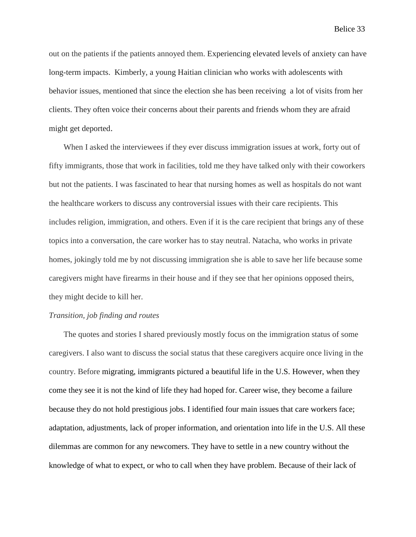out on the patients if the patients annoyed them. Experiencing elevated levels of anxiety can have long-term impacts. Kimberly, a young Haitian clinician who works with adolescents with behavior issues, mentioned that since the election she has been receiving a lot of visits from her clients. They often voice their concerns about their parents and friends whom they are afraid might get deported.

When I asked the interviewees if they ever discuss immigration issues at work, forty out of fifty immigrants, those that work in facilities, told me they have talked only with their coworkers but not the patients. I was fascinated to hear that nursing homes as well as hospitals do not want the healthcare workers to discuss any controversial issues with their care recipients. This includes religion, immigration, and others. Even if it is the care recipient that brings any of these topics into a conversation, the care worker has to stay neutral. Natacha, who works in private homes, jokingly told me by not discussing immigration she is able to save her life because some caregivers might have firearms in their house and if they see that her opinions opposed theirs, they might decide to kill her.

#### *Transition, job finding and routes*

The quotes and stories I shared previously mostly focus on the immigration status of some caregivers. I also want to discuss the social status that these caregivers acquire once living in the country. Before migrating, immigrants pictured a beautiful life in the U.S. However, when they come they see it is not the kind of life they had hoped for. Career wise, they become a failure because they do not hold prestigious jobs. I identified four main issues that care workers face; adaptation, adjustments, lack of proper information, and orientation into life in the U.S. All these dilemmas are common for any newcomers. They have to settle in a new country without the knowledge of what to expect, or who to call when they have problem. Because of their lack of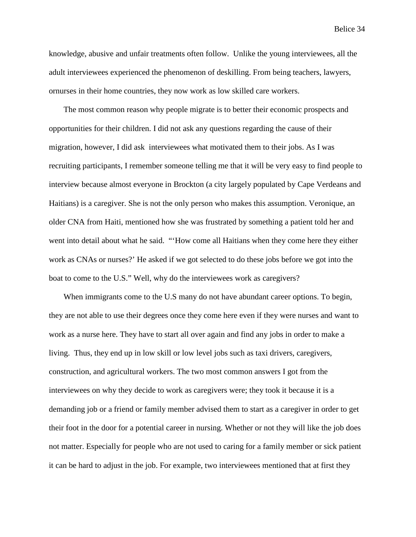knowledge, abusive and unfair treatments often follow. Unlike the young interviewees, all the adult interviewees experienced the phenomenon of deskilling. From being teachers, lawyers, ornurses in their home countries, they now work as low skilled care workers.

The most common reason why people migrate is to better their economic prospects and opportunities for their children. I did not ask any questions regarding the cause of their migration, however, I did ask interviewees what motivated them to their jobs. As I was recruiting participants, I remember someone telling me that it will be very easy to find people to interview because almost everyone in Brockton (a city largely populated by Cape Verdeans and Haitians) is a caregiver. She is not the only person who makes this assumption. Veronique, an older CNA from Haiti, mentioned how she was frustrated by something a patient told her and went into detail about what he said. "'How come all Haitians when they come here they either work as CNAs or nurses?' He asked if we got selected to do these jobs before we got into the boat to come to the U.S." Well, why do the interviewees work as caregivers?

When immigrants come to the U.S many do not have abundant career options. To begin, they are not able to use their degrees once they come here even if they were nurses and want to work as a nurse here. They have to start all over again and find any jobs in order to make a living. Thus, they end up in low skill or low level jobs such as taxi drivers, caregivers, construction, and agricultural workers. The two most common answers I got from the interviewees on why they decide to work as caregivers were; they took it because it is a demanding job or a friend or family member advised them to start as a caregiver in order to get their foot in the door for a potential career in nursing. Whether or not they will like the job does not matter. Especially for people who are not used to caring for a family member or sick patient it can be hard to adjust in the job. For example, two interviewees mentioned that at first they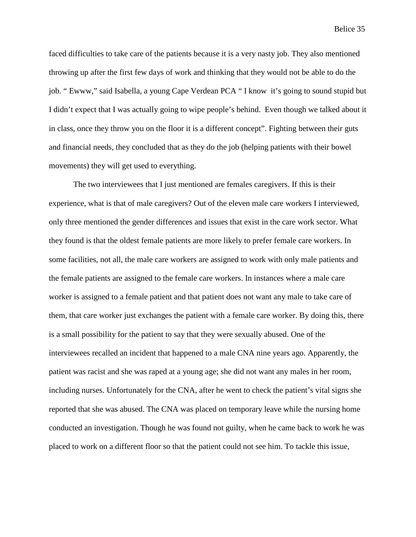faced difficulties to take care of the patients because it is a very nasty job. They also mentioned throwing up after the first few days of work and thinking that they would not be able to do the job. " Ewww," said Isabella, a young Cape Verdean PCA " I know it's going to sound stupid but I didn't expect that I was actually going to wipe people's behind. Even though we talked about it in class, once they throw you on the floor it is a different concept". Fighting between their guts and financial needs, they concluded that as they do the job (helping patients with their bowel movements) they will get used to everything.

The two interviewees that I just mentioned are females caregivers. If this is their experience, what is that of male caregivers? Out of the eleven male care workers I interviewed, only three mentioned the gender differences and issues that exist in the care work sector. What they found is that the oldest female patients are more likely to prefer female care workers. In some facilities, not all, the male care workers are assigned to work with only male patients and the female patients are assigned to the female care workers. In instances where a male care worker is assigned to a female patient and that patient does not want any male to take care of them, that care worker just exchanges the patient with a female care worker. By doing this, there is a small possibility for the patient to say that they were sexually abused. One of the interviewees recalled an incident that happened to a male CNA nine years ago. Apparently, the patient was racist and she was raped at a young age; she did not want any males in her room, including nurses. Unfortunately for the CNA, after he went to check the patient's vital signs she reported that she was abused. The CNA was placed on temporary leave while the nursing home conducted an investigation. Though he was found not guilty, when he came back to work he was placed to work on a different floor so that the patient could not see him. To tackle this issue,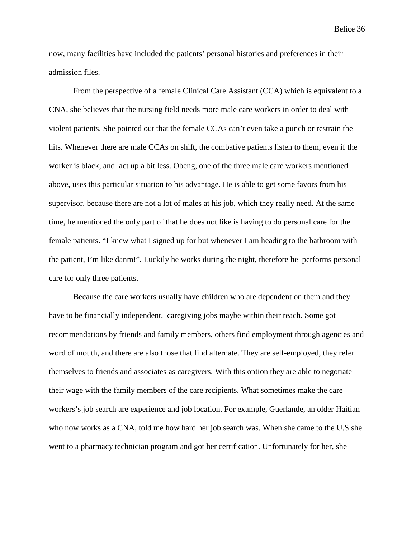now, many facilities have included the patients' personal histories and preferences in their admission files.

From the perspective of a female Clinical Care Assistant (CCA) which is equivalent to a CNA, she believes that the nursing field needs more male care workers in order to deal with violent patients. She pointed out that the female CCAs can't even take a punch or restrain the hits. Whenever there are male CCAs on shift, the combative patients listen to them, even if the worker is black, and act up a bit less. Obeng, one of the three male care workers mentioned above, uses this particular situation to his advantage. He is able to get some favors from his supervisor, because there are not a lot of males at his job, which they really need. At the same time, he mentioned the only part of that he does not like is having to do personal care for the female patients. "I knew what I signed up for but whenever I am heading to the bathroom with the patient, I'm like danm!". Luckily he works during the night, therefore he performs personal care for only three patients.

Because the care workers usually have children who are dependent on them and they have to be financially independent, caregiving jobs maybe within their reach. Some got recommendations by friends and family members, others find employment through agencies and word of mouth, and there are also those that find alternate. They are self-employed, they refer themselves to friends and associates as caregivers. With this option they are able to negotiate their wage with the family members of the care recipients. What sometimes make the care workers's job search are experience and job location. For example, Guerlande, an older Haitian who now works as a CNA, told me how hard her job search was. When she came to the U.S she went to a pharmacy technician program and got her certification. Unfortunately for her, she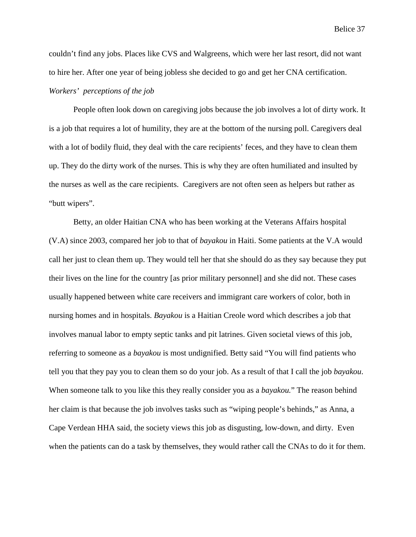couldn't find any jobs. Places like CVS and Walgreens, which were her last resort, did not want to hire her. After one year of being jobless she decided to go and get her CNA certification.

# *Workers' perceptions of the job*

People often look down on caregiving jobs because the job involves a lot of dirty work. It is a job that requires a lot of humility, they are at the bottom of the nursing poll. Caregivers deal with a lot of bodily fluid, they deal with the care recipients' feces, and they have to clean them up. They do the dirty work of the nurses. This is why they are often humiliated and insulted by the nurses as well as the care recipients. Caregivers are not often seen as helpers but rather as "butt wipers".

Betty, an older Haitian CNA who has been working at the Veterans Affairs hospital (V.A) since 2003, compared her job to that of *bayakou* in Haiti. Some patients at the V.A would call her just to clean them up. They would tell her that she should do as they say because they put their lives on the line for the country [as prior military personnel] and she did not. These cases usually happened between white care receivers and immigrant care workers of color, both in nursing homes and in hospitals. *Bayakou* is a Haitian Creole word which describes a job that involves manual labor to empty septic tanks and pit latrines. Given societal views of this job, referring to someone as a *bayakou* is most undignified. Betty said "You will find patients who tell you that they pay you to clean them so do your job. As a result of that I call the job *bayakou*. When someone talk to you like this they really consider you as a *bayakou.*" The reason behind her claim is that because the job involves tasks such as "wiping people's behinds," as Anna, a Cape Verdean HHA said, the society views this job as disgusting, low-down, and dirty. Even when the patients can do a task by themselves, they would rather call the CNAs to do it for them.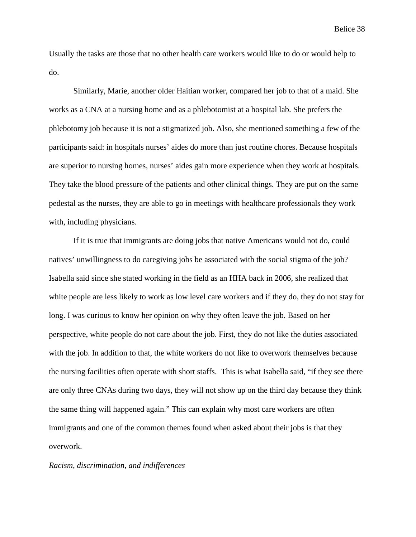Usually the tasks are those that no other health care workers would like to do or would help to do.

Similarly, Marie, another older Haitian worker, compared her job to that of a maid. She works as a CNA at a nursing home and as a phlebotomist at a hospital lab. She prefers the phlebotomy job because it is not a stigmatized job. Also, she mentioned something a few of the participants said: in hospitals nurses' aides do more than just routine chores. Because hospitals are superior to nursing homes, nurses' aides gain more experience when they work at hospitals. They take the blood pressure of the patients and other clinical things. They are put on the same pedestal as the nurses, they are able to go in meetings with healthcare professionals they work with, including physicians.

If it is true that immigrants are doing jobs that native Americans would not do, could natives' unwillingness to do caregiving jobs be associated with the social stigma of the job? Isabella said since she stated working in the field as an HHA back in 2006, she realized that white people are less likely to work as low level care workers and if they do, they do not stay for long. I was curious to know her opinion on why they often leave the job. Based on her perspective, white people do not care about the job. First, they do not like the duties associated with the job. In addition to that, the white workers do not like to overwork themselves because the nursing facilities often operate with short staffs. This is what Isabella said, "if they see there are only three CNAs during two days, they will not show up on the third day because they think the same thing will happened again." This can explain why most care workers are often immigrants and one of the common themes found when asked about their jobs is that they overwork.

## *Racism, discrimination, and indifferences*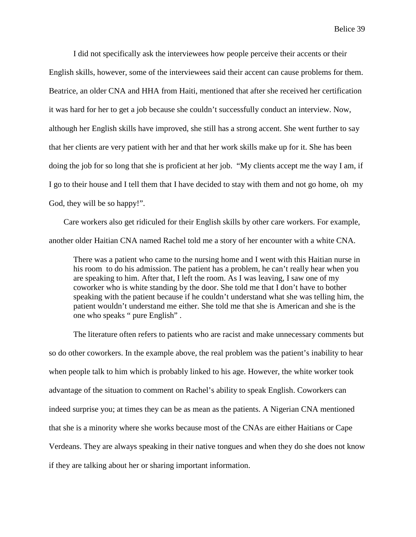I did not specifically ask the interviewees how people perceive their accents or their English skills, however, some of the interviewees said their accent can cause problems for them. Beatrice, an older CNA and HHA from Haiti, mentioned that after she received her certification it was hard for her to get a job because she couldn't successfully conduct an interview. Now, although her English skills have improved, she still has a strong accent. She went further to say that her clients are very patient with her and that her work skills make up for it. She has been doing the job for so long that she is proficient at her job. "My clients accept me the way I am, if I go to their house and I tell them that I have decided to stay with them and not go home, oh my God, they will be so happy!".

Care workers also get ridiculed for their English skills by other care workers. For example, another older Haitian CNA named Rachel told me a story of her encounter with a white CNA.

There was a patient who came to the nursing home and I went with this Haitian nurse in his room to do his admission. The patient has a problem, he can't really hear when you are speaking to him. After that, I left the room. As I was leaving, I saw one of my coworker who is white standing by the door. She told me that I don't have to bother speaking with the patient because if he couldn't understand what she was telling him, the patient wouldn't understand me either. She told me that she is American and she is the one who speaks " pure English" .

The literature often refers to patients who are racist and make unnecessary comments but so do other coworkers. In the example above, the real problem was the patient's inability to hear when people talk to him which is probably linked to his age. However, the white worker took advantage of the situation to comment on Rachel's ability to speak English. Coworkers can indeed surprise you; at times they can be as mean as the patients. A Nigerian CNA mentioned that she is a minority where she works because most of the CNAs are either Haitians or Cape Verdeans. They are always speaking in their native tongues and when they do she does not know if they are talking about her or sharing important information.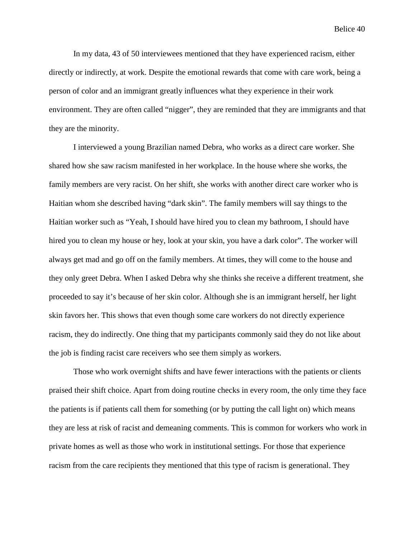In my data, 43 of 50 interviewees mentioned that they have experienced racism, either directly or indirectly, at work. Despite the emotional rewards that come with care work, being a person of color and an immigrant greatly influences what they experience in their work environment. They are often called "nigger", they are reminded that they are immigrants and that they are the minority.

I interviewed a young Brazilian named Debra, who works as a direct care worker. She shared how she saw racism manifested in her workplace. In the house where she works, the family members are very racist. On her shift, she works with another direct care worker who is Haitian whom she described having "dark skin". The family members will say things to the Haitian worker such as "Yeah, I should have hired you to clean my bathroom, I should have hired you to clean my house or hey, look at your skin, you have a dark color". The worker will always get mad and go off on the family members. At times, they will come to the house and they only greet Debra. When I asked Debra why she thinks she receive a different treatment, she proceeded to say it's because of her skin color. Although she is an immigrant herself, her light skin favors her. This shows that even though some care workers do not directly experience racism, they do indirectly. One thing that my participants commonly said they do not like about the job is finding racist care receivers who see them simply as workers.

Those who work overnight shifts and have fewer interactions with the patients or clients praised their shift choice. Apart from doing routine checks in every room, the only time they face the patients is if patients call them for something (or by putting the call light on) which means they are less at risk of racist and demeaning comments. This is common for workers who work in private homes as well as those who work in institutional settings. For those that experience racism from the care recipients they mentioned that this type of racism is generational. They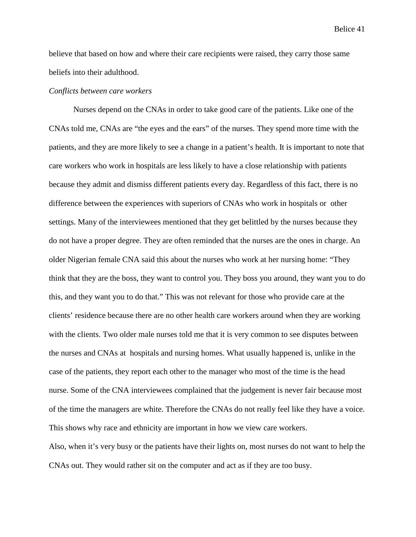believe that based on how and where their care recipients were raised, they carry those same beliefs into their adulthood.

### *Conflicts between care workers*

Nurses depend on the CNAs in order to take good care of the patients. Like one of the CNAs told me, CNAs are "the eyes and the ears" of the nurses. They spend more time with the patients, and they are more likely to see a change in a patient's health. It is important to note that care workers who work in hospitals are less likely to have a close relationship with patients because they admit and dismiss different patients every day. Regardless of this fact, there is no difference between the experiences with superiors of CNAs who work in hospitals or other settings. Many of the interviewees mentioned that they get belittled by the nurses because they do not have a proper degree. They are often reminded that the nurses are the ones in charge. An older Nigerian female CNA said this about the nurses who work at her nursing home: "They think that they are the boss, they want to control you. They boss you around, they want you to do this, and they want you to do that." This was not relevant for those who provide care at the clients' residence because there are no other health care workers around when they are working with the clients. Two older male nurses told me that it is very common to see disputes between the nurses and CNAs at hospitals and nursing homes. What usually happened is, unlike in the case of the patients, they report each other to the manager who most of the time is the head nurse. Some of the CNA interviewees complained that the judgement is never fair because most of the time the managers are white. Therefore the CNAs do not really feel like they have a voice. This shows why race and ethnicity are important in how we view care workers. Also, when it's very busy or the patients have their lights on, most nurses do not want to help the CNAs out. They would rather sit on the computer and act as if they are too busy.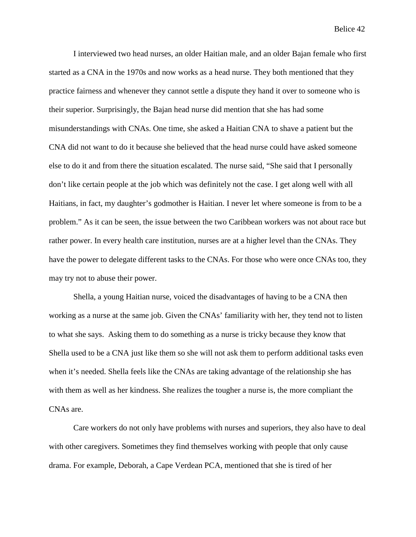I interviewed two head nurses, an older Haitian male, and an older Bajan female who first started as a CNA in the 1970s and now works as a head nurse. They both mentioned that they practice fairness and whenever they cannot settle a dispute they hand it over to someone who is their superior. Surprisingly, the Bajan head nurse did mention that she has had some misunderstandings with CNAs. One time, she asked a Haitian CNA to shave a patient but the CNA did not want to do it because she believed that the head nurse could have asked someone else to do it and from there the situation escalated. The nurse said, "She said that I personally don't like certain people at the job which was definitely not the case. I get along well with all Haitians, in fact, my daughter's godmother is Haitian. I never let where someone is from to be a problem." As it can be seen, the issue between the two Caribbean workers was not about race but rather power. In every health care institution, nurses are at a higher level than the CNAs. They have the power to delegate different tasks to the CNAs. For those who were once CNAs too, they may try not to abuse their power.

Shella, a young Haitian nurse, voiced the disadvantages of having to be a CNA then working as a nurse at the same job. Given the CNAs' familiarity with her, they tend not to listen to what she says. Asking them to do something as a nurse is tricky because they know that Shella used to be a CNA just like them so she will not ask them to perform additional tasks even when it's needed. Shella feels like the CNAs are taking advantage of the relationship she has with them as well as her kindness. She realizes the tougher a nurse is, the more compliant the CNAs are.

Care workers do not only have problems with nurses and superiors, they also have to deal with other caregivers. Sometimes they find themselves working with people that only cause drama. For example, Deborah, a Cape Verdean PCA, mentioned that she is tired of her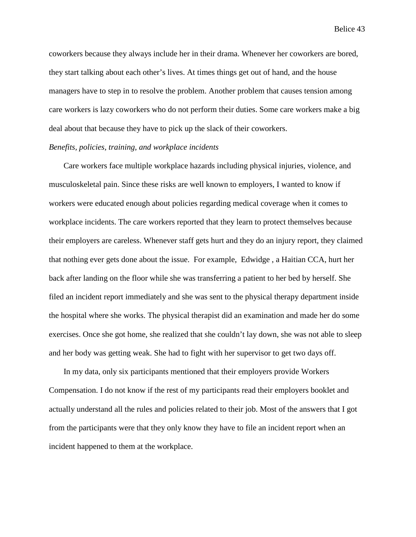coworkers because they always include her in their drama. Whenever her coworkers are bored, they start talking about each other's lives. At times things get out of hand, and the house managers have to step in to resolve the problem. Another problem that causes tension among care workers is lazy coworkers who do not perform their duties. Some care workers make a big deal about that because they have to pick up the slack of their coworkers.

## *Benefits, policies, training, and workplace incidents*

Care workers face multiple workplace hazards including physical injuries, violence, and musculoskeletal pain. Since these risks are well known to employers, I wanted to know if workers were educated enough about policies regarding medical coverage when it comes to workplace incidents. The care workers reported that they learn to protect themselves because their employers are careless. Whenever staff gets hurt and they do an injury report, they claimed that nothing ever gets done about the issue. For example, Edwidge , a Haitian CCA, hurt her back after landing on the floor while she was transferring a patient to her bed by herself. She filed an incident report immediately and she was sent to the physical therapy department inside the hospital where she works. The physical therapist did an examination and made her do some exercises. Once she got home, she realized that she couldn't lay down, she was not able to sleep and her body was getting weak. She had to fight with her supervisor to get two days off.

In my data, only six participants mentioned that their employers provide Workers Compensation. I do not know if the rest of my participants read their employers booklet and actually understand all the rules and policies related to their job. Most of the answers that I got from the participants were that they only know they have to file an incident report when an incident happened to them at the workplace.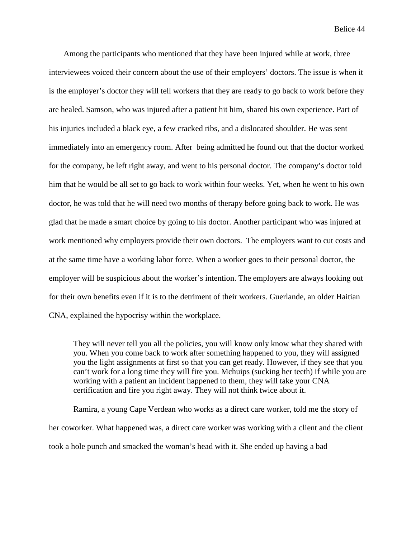Among the participants who mentioned that they have been injured while at work, three interviewees voiced their concern about the use of their employers' doctors. The issue is when it is the employer's doctor they will tell workers that they are ready to go back to work before they are healed. Samson, who was injured after a patient hit him, shared his own experience. Part of his injuries included a black eye, a few cracked ribs, and a dislocated shoulder. He was sent immediately into an emergency room. After being admitted he found out that the doctor worked for the company, he left right away, and went to his personal doctor. The company's doctor told him that he would be all set to go back to work within four weeks. Yet, when he went to his own doctor, he was told that he will need two months of therapy before going back to work. He was glad that he made a smart choice by going to his doctor. Another participant who was injured at work mentioned why employers provide their own doctors. The employers want to cut costs and at the same time have a working labor force. When a worker goes to their personal doctor, the employer will be suspicious about the worker's intention. The employers are always looking out for their own benefits even if it is to the detriment of their workers. Guerlande, an older Haitian CNA, explained the hypocrisy within the workplace.

They will never tell you all the policies, you will know only know what they shared with you. When you come back to work after something happened to you, they will assigned you the light assignments at first so that you can get ready. However, if they see that you can't work for a long time they will fire you. Mchuips (sucking her teeth) if while you are working with a patient an incident happened to them, they will take your CNA certification and fire you right away. They will not think twice about it.

Ramira, a young Cape Verdean who works as a direct care worker, told me the story of her coworker. What happened was, a direct care worker was working with a client and the client took a hole punch and smacked the woman's head with it. She ended up having a bad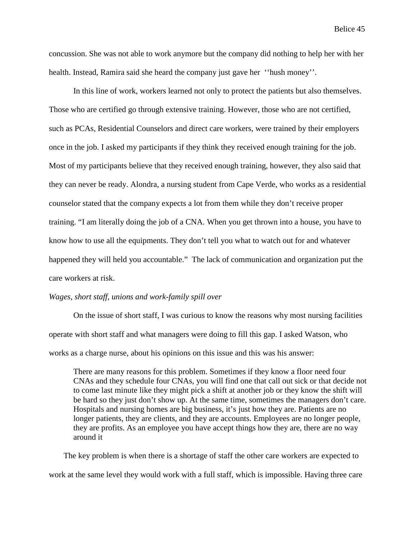concussion. She was not able to work anymore but the company did nothing to help her with her health. Instead, Ramira said she heard the company just gave her ''hush money''.

In this line of work, workers learned not only to protect the patients but also themselves. Those who are certified go through extensive training. However, those who are not certified, such as PCAs, Residential Counselors and direct care workers, were trained by their employers once in the job. I asked my participants if they think they received enough training for the job. Most of my participants believe that they received enough training, however, they also said that they can never be ready. Alondra, a nursing student from Cape Verde, who works as a residential counselor stated that the company expects a lot from them while they don't receive proper training. "I am literally doing the job of a CNA. When you get thrown into a house, you have to know how to use all the equipments. They don't tell you what to watch out for and whatever happened they will held you accountable." The lack of communication and organization put the care workers at risk.

## *Wages, short staff, unions and work-family spill over*

On the issue of short staff, I was curious to know the reasons why most nursing facilities operate with short staff and what managers were doing to fill this gap. I asked Watson, who works as a charge nurse, about his opinions on this issue and this was his answer:

There are many reasons for this problem. Sometimes if they know a floor need four CNAs and they schedule four CNAs, you will find one that call out sick or that decide not to come last minute like they might pick a shift at another job or they know the shift will be hard so they just don't show up. At the same time, sometimes the managers don't care. Hospitals and nursing homes are big business, it's just how they are. Patients are no longer patients, they are clients, and they are accounts. Employees are no longer people, they are profits. As an employee you have accept things how they are, there are no way around it

The key problem is when there is a shortage of staff the other care workers are expected to work at the same level they would work with a full staff, which is impossible. Having three care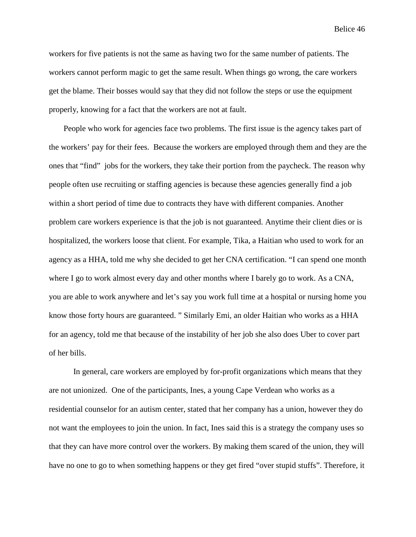workers for five patients is not the same as having two for the same number of patients. The workers cannot perform magic to get the same result. When things go wrong, the care workers get the blame. Their bosses would say that they did not follow the steps or use the equipment properly, knowing for a fact that the workers are not at fault.

People who work for agencies face two problems. The first issue is the agency takes part of the workers' pay for their fees. Because the workers are employed through them and they are the ones that "find" jobs for the workers, they take their portion from the paycheck. The reason why people often use recruiting or staffing agencies is because these agencies generally find a job within a short period of time due to contracts they have with different companies. Another problem care workers experience is that the job is not guaranteed. Anytime their client dies or is hospitalized, the workers loose that client. For example, Tika, a Haitian who used to work for an agency as a HHA, told me why she decided to get her CNA certification. "I can spend one month where I go to work almost every day and other months where I barely go to work. As a CNA, you are able to work anywhere and let's say you work full time at a hospital or nursing home you know those forty hours are guaranteed. " Similarly Emi, an older Haitian who works as a HHA for an agency, told me that because of the instability of her job she also does Uber to cover part of her bills.

In general, care workers are employed by for-profit organizations which means that they are not unionized. One of the participants, Ines, a young Cape Verdean who works as a residential counselor for an autism center, stated that her company has a union, however they do not want the employees to join the union. In fact, Ines said this is a strategy the company uses so that they can have more control over the workers. By making them scared of the union, they will have no one to go to when something happens or they get fired "over stupid stuffs". Therefore, it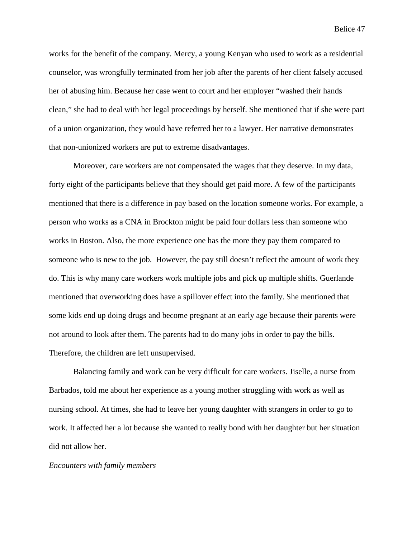works for the benefit of the company. Mercy, a young Kenyan who used to work as a residential counselor, was wrongfully terminated from her job after the parents of her client falsely accused her of abusing him. Because her case went to court and her employer "washed their hands clean," she had to deal with her legal proceedings by herself. She mentioned that if she were part of a union organization, they would have referred her to a lawyer. Her narrative demonstrates that non-unionized workers are put to extreme disadvantages.

Moreover, care workers are not compensated the wages that they deserve. In my data, forty eight of the participants believe that they should get paid more. A few of the participants mentioned that there is a difference in pay based on the location someone works. For example, a person who works as a CNA in Brockton might be paid four dollars less than someone who works in Boston. Also, the more experience one has the more they pay them compared to someone who is new to the job. However, the pay still doesn't reflect the amount of work they do. This is why many care workers work multiple jobs and pick up multiple shifts. Guerlande mentioned that overworking does have a spillover effect into the family. She mentioned that some kids end up doing drugs and become pregnant at an early age because their parents were not around to look after them. The parents had to do many jobs in order to pay the bills. Therefore, the children are left unsupervised.

Balancing family and work can be very difficult for care workers. Jiselle, a nurse from Barbados, told me about her experience as a young mother struggling with work as well as nursing school. At times, she had to leave her young daughter with strangers in order to go to work. It affected her a lot because she wanted to really bond with her daughter but her situation did not allow her.

#### *Encounters with family members*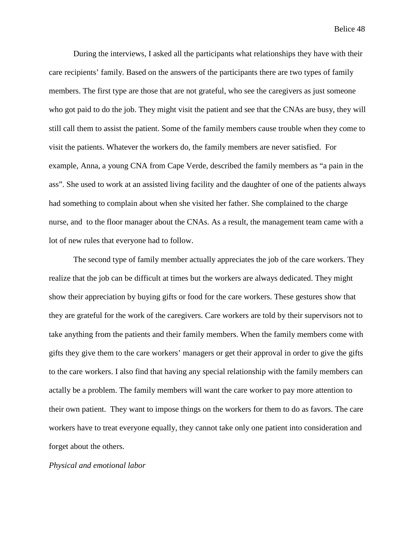During the interviews, I asked all the participants what relationships they have with their care recipients' family. Based on the answers of the participants there are two types of family members. The first type are those that are not grateful, who see the caregivers as just someone who got paid to do the job. They might visit the patient and see that the CNAs are busy, they will still call them to assist the patient. Some of the family members cause trouble when they come to visit the patients. Whatever the workers do, the family members are never satisfied. For example, Anna, a young CNA from Cape Verde, described the family members as "a pain in the ass". She used to work at an assisted living facility and the daughter of one of the patients always had something to complain about when she visited her father. She complained to the charge nurse, and to the floor manager about the CNAs. As a result, the management team came with a lot of new rules that everyone had to follow.

The second type of family member actually appreciates the job of the care workers. They realize that the job can be difficult at times but the workers are always dedicated. They might show their appreciation by buying gifts or food for the care workers. These gestures show that they are grateful for the work of the caregivers. Care workers are told by their supervisors not to take anything from the patients and their family members. When the family members come with gifts they give them to the care workers' managers or get their approval in order to give the gifts to the care workers. I also find that having any special relationship with the family members can actally be a problem. The family members will want the care worker to pay more attention to their own patient. They want to impose things on the workers for them to do as favors. The care workers have to treat everyone equally, they cannot take only one patient into consideration and forget about the others.

#### *Physical and emotional labor*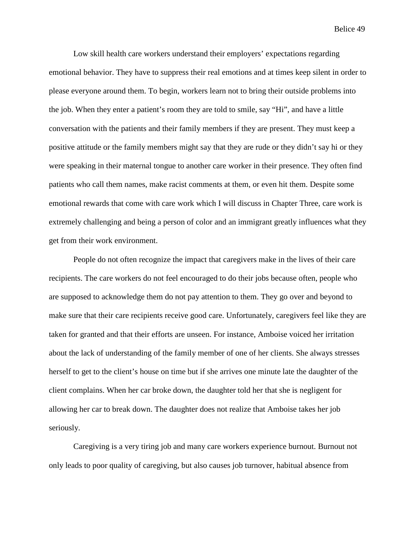Low skill health care workers understand their employers' expectations regarding emotional behavior. They have to suppress their real emotions and at times keep silent in order to please everyone around them. To begin, workers learn not to bring their outside problems into the job. When they enter a patient's room they are told to smile, say "Hi", and have a little conversation with the patients and their family members if they are present. They must keep a positive attitude or the family members might say that they are rude or they didn't say hi or they were speaking in their maternal tongue to another care worker in their presence. They often find patients who call them names, make racist comments at them, or even hit them. Despite some emotional rewards that come with care work which I will discuss in Chapter Three, care work is extremely challenging and being a person of color and an immigrant greatly influences what they get from their work environment.

People do not often recognize the impact that caregivers make in the lives of their care recipients. The care workers do not feel encouraged to do their jobs because often, people who are supposed to acknowledge them do not pay attention to them. They go over and beyond to make sure that their care recipients receive good care. Unfortunately, caregivers feel like they are taken for granted and that their efforts are unseen. For instance, Amboise voiced her irritation about the lack of understanding of the family member of one of her clients. She always stresses herself to get to the client's house on time but if she arrives one minute late the daughter of the client complains. When her car broke down, the daughter told her that she is negligent for allowing her car to break down. The daughter does not realize that Amboise takes her job seriously.

Caregiving is a very tiring job and many care workers experience burnout. Burnout not only leads to poor quality of caregiving, but also causes job turnover, habitual absence from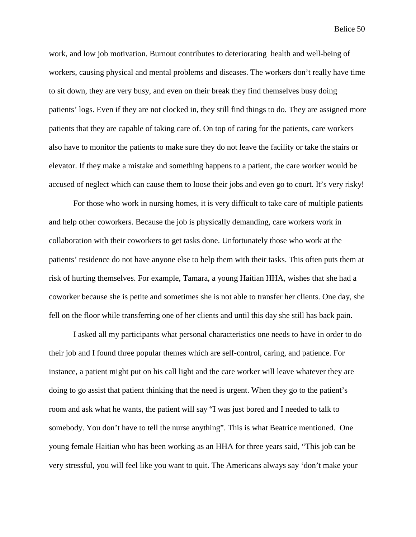work, and low job motivation. Burnout contributes to deteriorating health and well-being of workers, causing physical and mental problems and diseases. The workers don't really have time to sit down, they are very busy, and even on their break they find themselves busy doing patients' logs. Even if they are not clocked in, they still find things to do. They are assigned more patients that they are capable of taking care of. On top of caring for the patients, care workers also have to monitor the patients to make sure they do not leave the facility or take the stairs or elevator. If they make a mistake and something happens to a patient, the care worker would be accused of neglect which can cause them to loose their jobs and even go to court. It's very risky!

For those who work in nursing homes, it is very difficult to take care of multiple patients and help other coworkers. Because the job is physically demanding, care workers work in collaboration with their coworkers to get tasks done. Unfortunately those who work at the patients' residence do not have anyone else to help them with their tasks. This often puts them at risk of hurting themselves. For example, Tamara, a young Haitian HHA, wishes that she had a coworker because she is petite and sometimes she is not able to transfer her clients. One day, she fell on the floor while transferring one of her clients and until this day she still has back pain.

I asked all my participants what personal characteristics one needs to have in order to do their job and I found three popular themes which are self-control, caring, and patience. For instance, a patient might put on his call light and the care worker will leave whatever they are doing to go assist that patient thinking that the need is urgent. When they go to the patient's room and ask what he wants, the patient will say "I was just bored and I needed to talk to somebody. You don't have to tell the nurse anything". This is what Beatrice mentioned. One young female Haitian who has been working as an HHA for three years said, "This job can be very stressful, you will feel like you want to quit. The Americans always say 'don't make your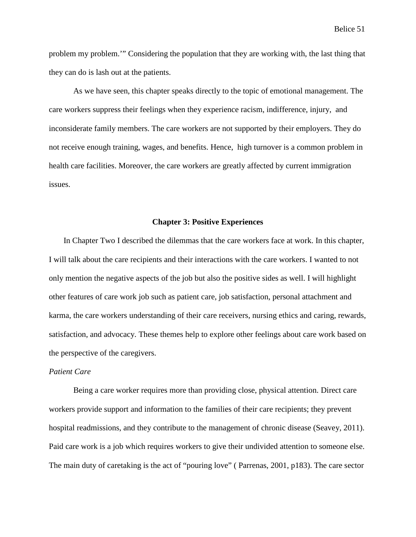problem my problem.'" Considering the population that they are working with, the last thing that they can do is lash out at the patients.

As we have seen, this chapter speaks directly to the topic of emotional management. The care workers suppress their feelings when they experience racism, indifference, injury, and inconsiderate family members. The care workers are not supported by their employers. They do not receive enough training, wages, and benefits. Hence, high turnover is a common problem in health care facilities. Moreover, the care workers are greatly affected by current immigration issues.

### **Chapter 3: Positive Experiences**

In Chapter Two I described the dilemmas that the care workers face at work. In this chapter, I will talk about the care recipients and their interactions with the care workers. I wanted to not only mention the negative aspects of the job but also the positive sides as well. I will highlight other features of care work job such as patient care, job satisfaction, personal attachment and karma, the care workers understanding of their care receivers, nursing ethics and caring, rewards, satisfaction, and advocacy. These themes help to explore other feelings about care work based on the perspective of the caregivers.

### *Patient Care*

Being a care worker requires more than providing close, physical attention. Direct care workers provide support and information to the families of their care recipients; they prevent hospital readmissions, and they contribute to the management of chronic disease (Seavey, 2011). Paid care work is a job which requires workers to give their undivided attention to someone else. The main duty of caretaking is the act of "pouring love" ( Parrenas, 2001, p183). The care sector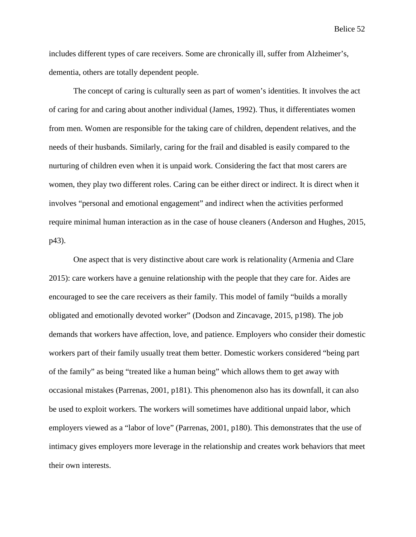includes different types of care receivers. Some are chronically ill, suffer from Alzheimer's, dementia, others are totally dependent people.

The concept of caring is culturally seen as part of women's identities. It involves the act of caring for and caring about another individual (James, 1992). Thus, it differentiates women from men. Women are responsible for the taking care of children, dependent relatives, and the needs of their husbands. Similarly, caring for the frail and disabled is easily compared to the nurturing of children even when it is unpaid work. Considering the fact that most carers are women, they play two different roles. Caring can be either direct or indirect. It is direct when it involves "personal and emotional engagement" and indirect when the activities performed require minimal human interaction as in the case of house cleaners (Anderson and Hughes, 2015, p43).

One aspect that is very distinctive about care work is relationality (Armenia and Clare 2015): care workers have a genuine relationship with the people that they care for. Aides are encouraged to see the care receivers as their family. This model of family "builds a morally obligated and emotionally devoted worker" (Dodson and Zincavage, 2015, p198). The job demands that workers have affection, love, and patience. Employers who consider their domestic workers part of their family usually treat them better. Domestic workers considered "being part of the family" as being "treated like a human being" which allows them to get away with occasional mistakes (Parrenas, 2001, p181). This phenomenon also has its downfall, it can also be used to exploit workers. The workers will sometimes have additional unpaid labor, which employers viewed as a "labor of love" (Parrenas, 2001, p180). This demonstrates that the use of intimacy gives employers more leverage in the relationship and creates work behaviors that meet their own interests.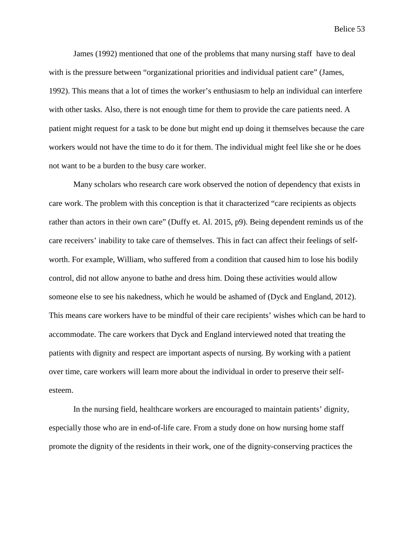James (1992) mentioned that one of the problems that many nursing staff have to deal with is the pressure between "organizational priorities and individual patient care" (James, 1992). This means that a lot of times the worker's enthusiasm to help an individual can interfere with other tasks. Also, there is not enough time for them to provide the care patients need. A patient might request for a task to be done but might end up doing it themselves because the care workers would not have the time to do it for them. The individual might feel like she or he does not want to be a burden to the busy care worker.

Many scholars who research care work observed the notion of dependency that exists in care work. The problem with this conception is that it characterized "care recipients as objects rather than actors in their own care" (Duffy et. Al. 2015, p9). Being dependent reminds us of the care receivers' inability to take care of themselves. This in fact can affect their feelings of selfworth. For example, William, who suffered from a condition that caused him to lose his bodily control, did not allow anyone to bathe and dress him. Doing these activities would allow someone else to see his nakedness, which he would be ashamed of (Dyck and England, 2012). This means care workers have to be mindful of their care recipients' wishes which can be hard to accommodate. The care workers that Dyck and England interviewed noted that treating the patients with dignity and respect are important aspects of nursing. By working with a patient over time, care workers will learn more about the individual in order to preserve their selfesteem.

In the nursing field, healthcare workers are encouraged to maintain patients' dignity, especially those who are in end-of-life care. From a study done on how nursing home staff promote the dignity of the residents in their work, one of the dignity-conserving practices the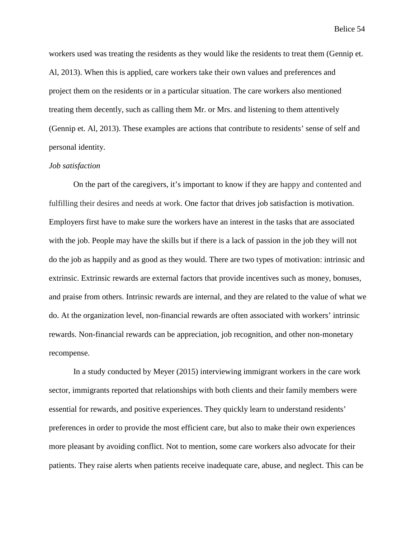workers used was treating the residents as they would like the residents to treat them (Gennip et. Al, 2013). When this is applied, care workers take their own values and preferences and project them on the residents or in a particular situation. The care workers also mentioned treating them decently, such as calling them Mr. or Mrs. and listening to them attentively (Gennip et. Al, 2013). These examples are actions that contribute to residents' sense of self and personal identity.

### *Job satisfaction*

On the part of the caregivers, it's important to know if they are happy and contented and fulfilling their desires and needs at work. One factor that drives job satisfaction is motivation. Employers first have to make sure the workers have an interest in the tasks that are associated with the job. People may have the skills but if there is a lack of passion in the job they will not do the job as happily and as good as they would. There are two types of motivation: intrinsic and extrinsic. Extrinsic rewards are external factors that provide incentives such as money, bonuses, and praise from others. Intrinsic rewards are internal, and they are related to the value of what we do. At the organization level, non-financial rewards are often associated with workers' intrinsic rewards. Non-financial rewards can be appreciation, job recognition, and other non-monetary recompense.

In a study conducted by Meyer (2015) interviewing immigrant workers in the care work sector, immigrants reported that relationships with both clients and their family members were essential for rewards, and positive experiences. They quickly learn to understand residents' preferences in order to provide the most efficient care, but also to make their own experiences more pleasant by avoiding conflict. Not to mention, some care workers also advocate for their patients. They raise alerts when patients receive inadequate care, abuse, and neglect. This can be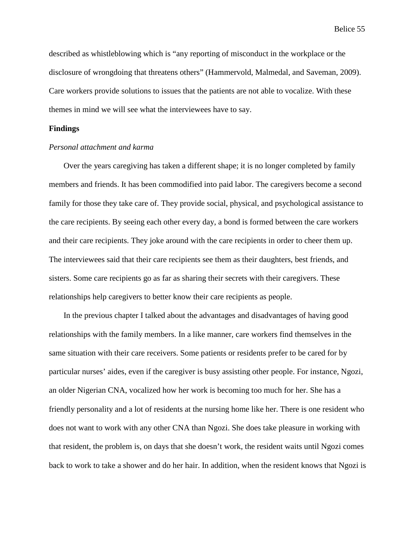described as whistleblowing which is "any reporting of misconduct in the workplace or the disclosure of wrongdoing that threatens others" (Hammervold, Malmedal, and Saveman, 2009). Care workers provide solutions to issues that the patients are not able to vocalize. With these themes in mind we will see what the interviewees have to say.

# **Findings**

# *Personal attachment and karma*

Over the years caregiving has taken a different shape; it is no longer completed by family members and friends. It has been commodified into paid labor. The caregivers become a second family for those they take care of. They provide social, physical, and psychological assistance to the care recipients. By seeing each other every day, a bond is formed between the care workers and their care recipients. They joke around with the care recipients in order to cheer them up. The interviewees said that their care recipients see them as their daughters, best friends, and sisters. Some care recipients go as far as sharing their secrets with their caregivers. These relationships help caregivers to better know their care recipients as people.

In the previous chapter I talked about the advantages and disadvantages of having good relationships with the family members. In a like manner, care workers find themselves in the same situation with their care receivers. Some patients or residents prefer to be cared for by particular nurses' aides, even if the caregiver is busy assisting other people. For instance, Ngozi, an older Nigerian CNA, vocalized how her work is becoming too much for her. She has a friendly personality and a lot of residents at the nursing home like her. There is one resident who does not want to work with any other CNA than Ngozi. She does take pleasure in working with that resident, the problem is, on days that she doesn't work, the resident waits until Ngozi comes back to work to take a shower and do her hair. In addition, when the resident knows that Ngozi is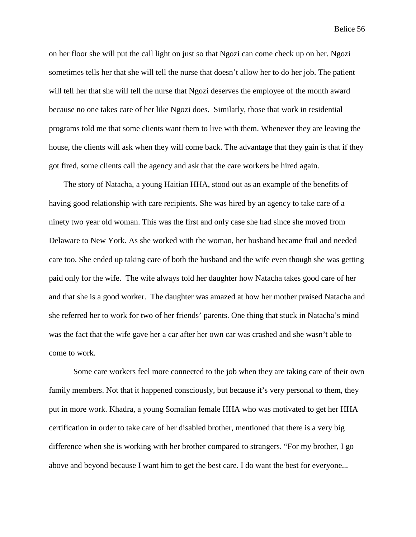on her floor she will put the call light on just so that Ngozi can come check up on her. Ngozi sometimes tells her that she will tell the nurse that doesn't allow her to do her job. The patient will tell her that she will tell the nurse that Ngozi deserves the employee of the month award because no one takes care of her like Ngozi does. Similarly, those that work in residential programs told me that some clients want them to live with them. Whenever they are leaving the house, the clients will ask when they will come back. The advantage that they gain is that if they got fired, some clients call the agency and ask that the care workers be hired again.

The story of Natacha, a young Haitian HHA, stood out as an example of the benefits of having good relationship with care recipients. She was hired by an agency to take care of a ninety two year old woman. This was the first and only case she had since she moved from Delaware to New York. As she worked with the woman, her husband became frail and needed care too. She ended up taking care of both the husband and the wife even though she was getting paid only for the wife. The wife always told her daughter how Natacha takes good care of her and that she is a good worker. The daughter was amazed at how her mother praised Natacha and she referred her to work for two of her friends' parents. One thing that stuck in Natacha's mind was the fact that the wife gave her a car after her own car was crashed and she wasn't able to come to work.

Some care workers feel more connected to the job when they are taking care of their own family members. Not that it happened consciously, but because it's very personal to them, they put in more work. Khadra, a young Somalian female HHA who was motivated to get her HHA certification in order to take care of her disabled brother, mentioned that there is a very big difference when she is working with her brother compared to strangers. "For my brother, I go above and beyond because I want him to get the best care. I do want the best for everyone...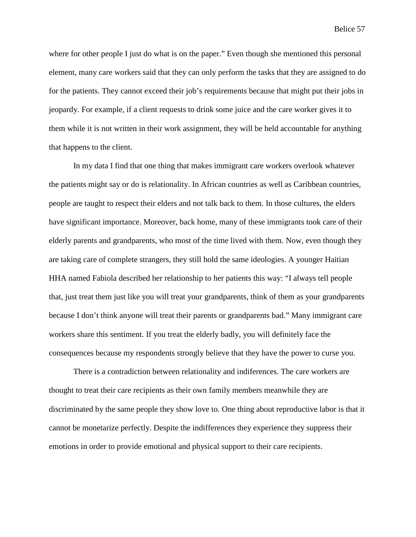where for other people I just do what is on the paper." Even though she mentioned this personal element, many care workers said that they can only perform the tasks that they are assigned to do for the patients. They cannot exceed their job's requirements because that might put their jobs in jeopardy. For example, if a client requests to drink some juice and the care worker gives it to them while it is not written in their work assignment, they will be held accountable for anything that happens to the client.

In my data I find that one thing that makes immigrant care workers overlook whatever the patients might say or do is relationality. In African countries as well as Caribbean countries, people are taught to respect their elders and not talk back to them. In those cultures, the elders have significant importance. Moreover, back home, many of these immigrants took care of their elderly parents and grandparents, who most of the time lived with them. Now, even though they are taking care of complete strangers, they still hold the same ideologies. A younger Haitian HHA named Fabiola described her relationship to her patients this way: "I always tell people that, just treat them just like you will treat your grandparents, think of them as your grandparents because I don't think anyone will treat their parents or grandparents bad." Many immigrant care workers share this sentiment. If you treat the elderly badly, you will definitely face the consequences because my respondents strongly believe that they have the power to curse you.

There is a contradiction between relationality and indiferences. The care workers are thought to treat their care recipients as their own family members meanwhile they are discriminated by the same people they show love to. One thing about reproductive labor is that it cannot be monetarize perfectly. Despite the indifferences they experience they suppress their emotions in order to provide emotional and physical support to their care recipients.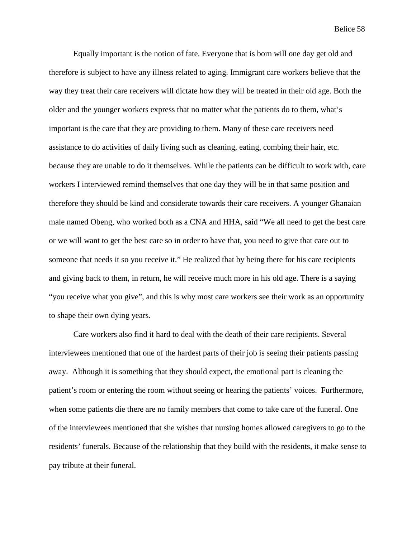Equally important is the notion of fate. Everyone that is born will one day get old and therefore is subject to have any illness related to aging. Immigrant care workers believe that the way they treat their care receivers will dictate how they will be treated in their old age. Both the older and the younger workers express that no matter what the patients do to them, what's important is the care that they are providing to them. Many of these care receivers need assistance to do activities of daily living such as cleaning, eating, combing their hair, etc. because they are unable to do it themselves. While the patients can be difficult to work with, care workers I interviewed remind themselves that one day they will be in that same position and therefore they should be kind and considerate towards their care receivers. A younger Ghanaian male named Obeng, who worked both as a CNA and HHA, said "We all need to get the best care or we will want to get the best care so in order to have that, you need to give that care out to someone that needs it so you receive it." He realized that by being there for his care recipients and giving back to them, in return, he will receive much more in his old age. There is a saying "you receive what you give", and this is why most care workers see their work as an opportunity to shape their own dying years.

Care workers also find it hard to deal with the death of their care recipients. Several interviewees mentioned that one of the hardest parts of their job is seeing their patients passing away. Although it is something that they should expect, the emotional part is cleaning the patient's room or entering the room without seeing or hearing the patients' voices. Furthermore, when some patients die there are no family members that come to take care of the funeral. One of the interviewees mentioned that she wishes that nursing homes allowed caregivers to go to the residents' funerals. Because of the relationship that they build with the residents, it make sense to pay tribute at their funeral.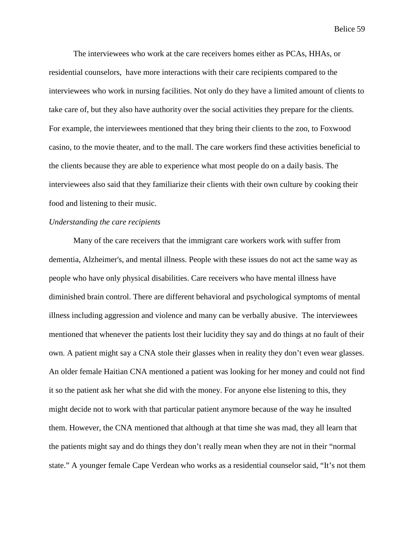The interviewees who work at the care receivers homes either as PCAs, HHAs, or residential counselors, have more interactions with their care recipients compared to the interviewees who work in nursing facilities. Not only do they have a limited amount of clients to take care of, but they also have authority over the social activities they prepare for the clients. For example, the interviewees mentioned that they bring their clients to the zoo, to Foxwood casino, to the movie theater, and to the mall. The care workers find these activities beneficial to the clients because they are able to experience what most people do on a daily basis. The interviewees also said that they familiarize their clients with their own culture by cooking their food and listening to their music.

# *Understanding the care recipients*

Many of the care receivers that the immigrant care workers work with suffer from dementia, Alzheimer's, and mental illness. People with these issues do not act the same way as people who have only physical disabilities. Care receivers who have mental illness have diminished brain control. There are different behavioral and psychological symptoms of mental illness including aggression and violence and many can be verbally abusive. The interviewees mentioned that whenever the patients lost their lucidity they say and do things at no fault of their own. A patient might say a CNA stole their glasses when in reality they don't even wear glasses. An older female Haitian CNA mentioned a patient was looking for her money and could not find it so the patient ask her what she did with the money. For anyone else listening to this, they might decide not to work with that particular patient anymore because of the way he insulted them. However, the CNA mentioned that although at that time she was mad, they all learn that the patients might say and do things they don't really mean when they are not in their "normal state." A younger female Cape Verdean who works as a residential counselor said, "It's not them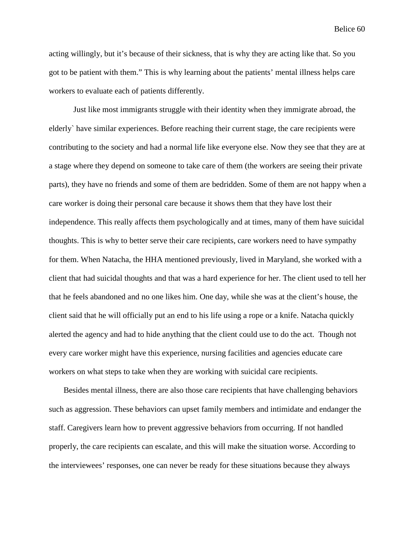acting willingly, but it's because of their sickness, that is why they are acting like that. So you got to be patient with them." This is why learning about the patients' mental illness helps care workers to evaluate each of patients differently.

Just like most immigrants struggle with their identity when they immigrate abroad, the elderly` have similar experiences. Before reaching their current stage, the care recipients were contributing to the society and had a normal life like everyone else. Now they see that they are at a stage where they depend on someone to take care of them (the workers are seeing their private parts), they have no friends and some of them are bedridden. Some of them are not happy when a care worker is doing their personal care because it shows them that they have lost their independence. This really affects them psychologically and at times, many of them have suicidal thoughts. This is why to better serve their care recipients, care workers need to have sympathy for them. When Natacha, the HHA mentioned previously, lived in Maryland, she worked with a client that had suicidal thoughts and that was a hard experience for her. The client used to tell her that he feels abandoned and no one likes him. One day, while she was at the client's house, the client said that he will officially put an end to his life using a rope or a knife. Natacha quickly alerted the agency and had to hide anything that the client could use to do the act. Though not every care worker might have this experience, nursing facilities and agencies educate care workers on what steps to take when they are working with suicidal care recipients.

Besides mental illness, there are also those care recipients that have challenging behaviors such as aggression. These behaviors can upset family members and intimidate and endanger the staff. Caregivers learn how to prevent aggressive behaviors from occurring. If not handled properly, the care recipients can escalate, and this will make the situation worse. According to the interviewees' responses, one can never be ready for these situations because they always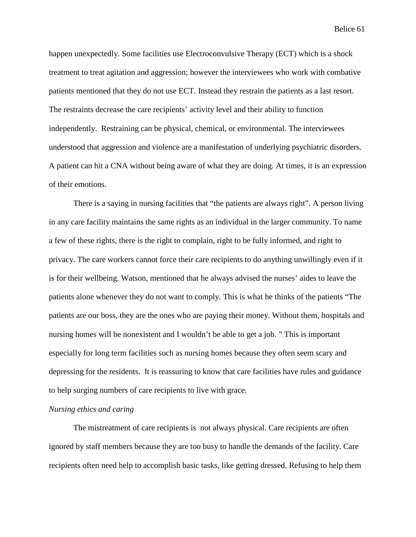happen unexpectedly. Some facilities use Electroconvulsive Therapy (ECT) which is a shock treatment to treat agitation and aggression; however the interviewees who work with combative patients mentioned that they do not use ECT. Instead they restrain the patients as a last resort. The restraints decrease the care recipients' activity level and their ability to function independently. Restraining can be physical, chemical, or environmental. The interviewees understood that aggression and violence are a manifestation of underlying psychiatric disorders. A patient can hit a CNA without being aware of what they are doing. At times, it is an expression of their emotions.

There is a saying in nursing facilities that "the patients are always right". A person living in any care facility maintains the same rights as an individual in the larger community. To name a few of these rights, there is the right to complain, right to be fully informed, and right to privacy. The care workers cannot force their care recipients to do anything unwillingly even if it is for their wellbeing. Watson, mentioned that he always advised the nurses' aides to leave the patients alone whenever they do not want to comply. This is what he thinks of the patients "The patients are our boss, they are the ones who are paying their money. Without them, hospitals and nursing homes will be nonexistent and I wouldn't be able to get a job. " This is important especially for long term facilities such as nursing homes because they often seem scary and depressing for the residents. It is reassuring to know that care facilities have rules and guidance to help surging numbers of care recipients to live with grace.

# *Nursing ethics and caring*

The mistreatment of care recipients is not always physical. Care recipients are often ignored by staff members because they are too busy to handle the demands of the facility. Care recipients often need help to accomplish basic tasks, like getting dressed. Refusing to help them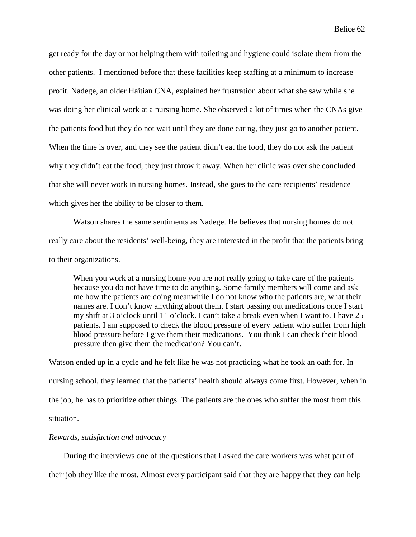get ready for the day or not helping them with toileting and hygiene could isolate them from the other patients. I mentioned before that these facilities keep staffing at a minimum to increase profit. Nadege, an older Haitian CNA, explained her frustration about what she saw while she was doing her clinical work at a nursing home. She observed a lot of times when the CNAs give the patients food but they do not wait until they are done eating, they just go to another patient. When the time is over, and they see the patient didn't eat the food, they do not ask the patient why they didn't eat the food, they just throw it away. When her clinic was over she concluded that she will never work in nursing homes. Instead, she goes to the care recipients' residence which gives her the ability to be closer to them.

Watson shares the same sentiments as Nadege. He believes that nursing homes do not really care about the residents' well-being, they are interested in the profit that the patients bring to their organizations.

When you work at a nursing home you are not really going to take care of the patients because you do not have time to do anything. Some family members will come and ask me how the patients are doing meanwhile I do not know who the patients are, what their names are. I don't know anything about them. I start passing out medications once I start my shift at 3 o'clock until 11 o'clock. I can't take a break even when I want to. I have 25 patients. I am supposed to check the blood pressure of every patient who suffer from high blood pressure before I give them their medications. You think I can check their blood pressure then give them the medication? You can't.

Watson ended up in a cycle and he felt like he was not practicing what he took an oath for. In nursing school, they learned that the patients' health should always come first. However, when in the job, he has to prioritize other things. The patients are the ones who suffer the most from this situation.

### *Rewards, satisfaction and advocacy*

During the interviews one of the questions that I asked the care workers was what part of their job they like the most. Almost every participant said that they are happy that they can help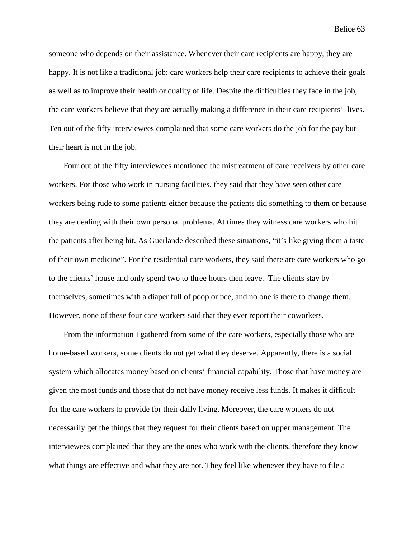someone who depends on their assistance. Whenever their care recipients are happy, they are happy. It is not like a traditional job; care workers help their care recipients to achieve their goals as well as to improve their health or quality of life. Despite the difficulties they face in the job, the care workers believe that they are actually making a difference in their care recipients' lives. Ten out of the fifty interviewees complained that some care workers do the job for the pay but their heart is not in the job.

Four out of the fifty interviewees mentioned the mistreatment of care receivers by other care workers. For those who work in nursing facilities, they said that they have seen other care workers being rude to some patients either because the patients did something to them or because they are dealing with their own personal problems. At times they witness care workers who hit the patients after being hit. As Guerlande described these situations, "it's like giving them a taste of their own medicine". For the residential care workers, they said there are care workers who go to the clients' house and only spend two to three hours then leave. The clients stay by themselves, sometimes with a diaper full of poop or pee, and no one is there to change them. However, none of these four care workers said that they ever report their coworkers.

From the information I gathered from some of the care workers, especially those who are home-based workers, some clients do not get what they deserve. Apparently, there is a social system which allocates money based on clients' financial capability. Those that have money are given the most funds and those that do not have money receive less funds. It makes it difficult for the care workers to provide for their daily living. Moreover, the care workers do not necessarily get the things that they request for their clients based on upper management. The interviewees complained that they are the ones who work with the clients, therefore they know what things are effective and what they are not. They feel like whenever they have to file a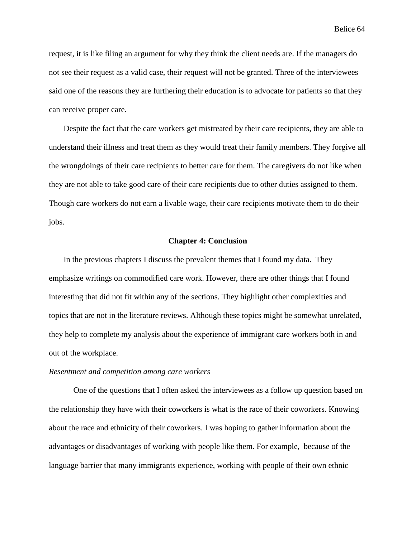request, it is like filing an argument for why they think the client needs are. If the managers do not see their request as a valid case, their request will not be granted. Three of the interviewees said one of the reasons they are furthering their education is to advocate for patients so that they can receive proper care.

Despite the fact that the care workers get mistreated by their care recipients, they are able to understand their illness and treat them as they would treat their family members. They forgive all the wrongdoings of their care recipients to better care for them. The caregivers do not like when they are not able to take good care of their care recipients due to other duties assigned to them. Though care workers do not earn a livable wage, their care recipients motivate them to do their jobs.

### **Chapter 4: Conclusion**

In the previous chapters I discuss the prevalent themes that I found my data. They emphasize writings on commodified care work. However, there are other things that I found interesting that did not fit within any of the sections. They highlight other complexities and topics that are not in the literature reviews. Although these topics might be somewhat unrelated, they help to complete my analysis about the experience of immigrant care workers both in and out of the workplace.

### *Resentment and competition among care workers*

One of the questions that I often asked the interviewees as a follow up question based on the relationship they have with their coworkers is what is the race of their coworkers. Knowing about the race and ethnicity of their coworkers. I was hoping to gather information about the advantages or disadvantages of working with people like them. For example, because of the language barrier that many immigrants experience, working with people of their own ethnic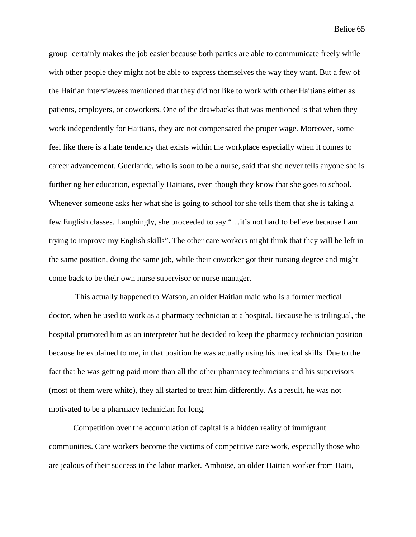group certainly makes the job easier because both parties are able to communicate freely while with other people they might not be able to express themselves the way they want. But a few of the Haitian interviewees mentioned that they did not like to work with other Haitians either as patients, employers, or coworkers. One of the drawbacks that was mentioned is that when they work independently for Haitians, they are not compensated the proper wage. Moreover, some feel like there is a hate tendency that exists within the workplace especially when it comes to career advancement. Guerlande, who is soon to be a nurse, said that she never tells anyone she is furthering her education, especially Haitians, even though they know that she goes to school. Whenever someone asks her what she is going to school for she tells them that she is taking a few English classes. Laughingly, she proceeded to say "…it's not hard to believe because I am trying to improve my English skills". The other care workers might think that they will be left in the same position, doing the same job, while their coworker got their nursing degree and might come back to be their own nurse supervisor or nurse manager.

This actually happened to Watson, an older Haitian male who is a former medical doctor, when he used to work as a pharmacy technician at a hospital. Because he is trilingual, the hospital promoted him as an interpreter but he decided to keep the pharmacy technician position because he explained to me, in that position he was actually using his medical skills. Due to the fact that he was getting paid more than all the other pharmacy technicians and his supervisors (most of them were white), they all started to treat him differently. As a result, he was not motivated to be a pharmacy technician for long.

Competition over the accumulation of capital is a hidden reality of immigrant communities. Care workers become the victims of competitive care work, especially those who are jealous of their success in the labor market. Amboise, an older Haitian worker from Haiti,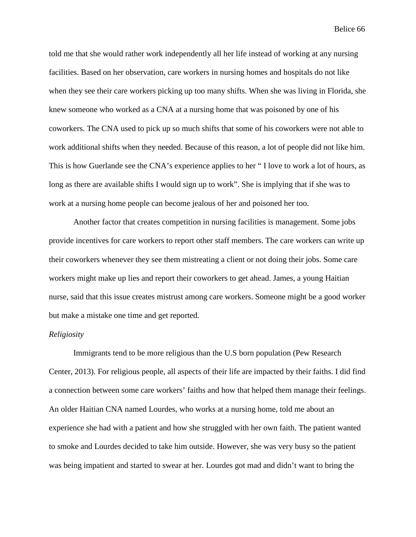told me that she would rather work independently all her life instead of working at any nursing facilities. Based on her observation, care workers in nursing homes and hospitals do not like when they see their care workers picking up too many shifts. When she was living in Florida, she knew someone who worked as a CNA at a nursing home that was poisoned by one of his coworkers. The CNA used to pick up so much shifts that some of his coworkers were not able to work additional shifts when they needed. Because of this reason, a lot of people did not like him. This is how Guerlande see the CNA's experience applies to her " I love to work a lot of hours, as long as there are available shifts I would sign up to work". She is implying that if she was to work at a nursing home people can become jealous of her and poisoned her too.

Another factor that creates competition in nursing facilities is management. Some jobs provide incentives for care workers to report other staff members. The care workers can write up their coworkers whenever they see them mistreating a client or not doing their jobs. Some care workers might make up lies and report their coworkers to get ahead. James, a young Haitian nurse, said that this issue creates mistrust among care workers. Someone might be a good worker but make a mistake one time and get reported.

#### *Religiosity*

Immigrants tend to be more religious than the U.S born population (Pew Research Center, 2013). For religious people, all aspects of their life are impacted by their faiths. I did find a connection between some care workers' faiths and how that helped them manage their feelings. An older Haitian CNA named Lourdes, who works at a nursing home, told me about an experience she had with a patient and how she struggled with her own faith. The patient wanted to smoke and Lourdes decided to take him outside. However, she was very busy so the patient was being impatient and started to swear at her. Lourdes got mad and didn't want to bring the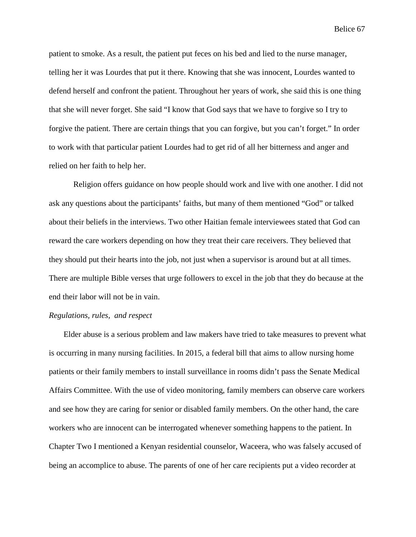patient to smoke. As a result, the patient put feces on his bed and lied to the nurse manager, telling her it was Lourdes that put it there. Knowing that she was innocent, Lourdes wanted to defend herself and confront the patient. Throughout her years of work, she said this is one thing that she will never forget. She said "I know that God says that we have to forgive so I try to forgive the patient. There are certain things that you can forgive, but you can't forget." In order to work with that particular patient Lourdes had to get rid of all her bitterness and anger and relied on her faith to help her.

Religion offers guidance on how people should work and live with one another. I did not ask any questions about the participants' faiths, but many of them mentioned "God" or talked about their beliefs in the interviews. Two other Haitian female interviewees stated that God can reward the care workers depending on how they treat their care receivers. They believed that they should put their hearts into the job, not just when a supervisor is around but at all times. There are multiple Bible verses that urge followers to excel in the job that they do because at the end their labor will not be in vain.

## *Regulations, rules, and respect*

Elder abuse is a serious problem and law makers have tried to take measures to prevent what is occurring in many nursing facilities. In 2015, a federal bill that aims to allow nursing home patients or their family members to install surveillance in rooms didn't pass the Senate Medical Affairs Committee. With the use of video monitoring, family members can observe care workers and see how they are caring for senior or disabled family members. On the other hand, the care workers who are innocent can be interrogated whenever something happens to the patient. In Chapter Two I mentioned a Kenyan residential counselor, Waceera, who was falsely accused of being an accomplice to abuse. The parents of one of her care recipients put a video recorder at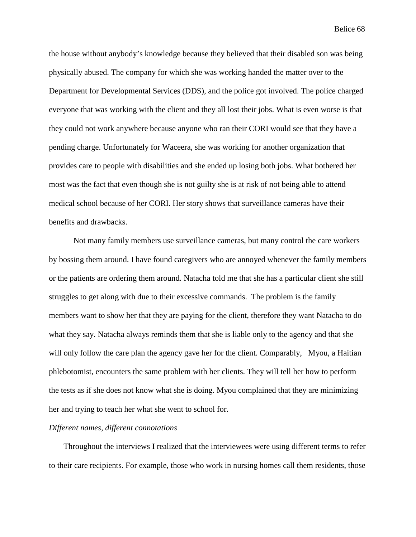the house without anybody's knowledge because they believed that their disabled son was being physically abused. The company for which she was working handed the matter over to the Department for Developmental Services (DDS), and the police got involved. The police charged everyone that was working with the client and they all lost their jobs. What is even worse is that they could not work anywhere because anyone who ran their CORI would see that they have a pending charge. Unfortunately for Waceera, she was working for another organization that provides care to people with disabilities and she ended up losing both jobs. What bothered her most was the fact that even though she is not guilty she is at risk of not being able to attend medical school because of her CORI. Her story shows that surveillance cameras have their benefits and drawbacks.

Not many family members use surveillance cameras, but many control the care workers by bossing them around. I have found caregivers who are annoyed whenever the family members or the patients are ordering them around. Natacha told me that she has a particular client she still struggles to get along with due to their excessive commands. The problem is the family members want to show her that they are paying for the client, therefore they want Natacha to do what they say. Natacha always reminds them that she is liable only to the agency and that she will only follow the care plan the agency gave her for the client. Comparably, Myou, a Haitian phlebotomist, encounters the same problem with her clients. They will tell her how to perform the tests as if she does not know what she is doing. Myou complained that they are minimizing her and trying to teach her what she went to school for.

### *Different names, different connotations*

Throughout the interviews I realized that the interviewees were using different terms to refer to their care recipients. For example, those who work in nursing homes call them residents, those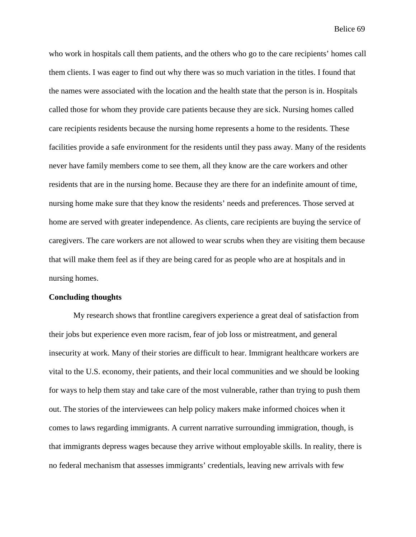who work in hospitals call them patients, and the others who go to the care recipients' homes call them clients. I was eager to find out why there was so much variation in the titles. I found that the names were associated with the location and the health state that the person is in. Hospitals called those for whom they provide care patients because they are sick. Nursing homes called care recipients residents because the nursing home represents a home to the residents. These facilities provide a safe environment for the residents until they pass away. Many of the residents never have family members come to see them, all they know are the care workers and other residents that are in the nursing home. Because they are there for an indefinite amount of time, nursing home make sure that they know the residents' needs and preferences. Those served at home are served with greater independence. As clients, care recipients are buying the service of caregivers. The care workers are not allowed to wear scrubs when they are visiting them because that will make them feel as if they are being cared for as people who are at hospitals and in nursing homes.

## **Concluding thoughts**

My research shows that frontline caregivers experience a great deal of satisfaction from their jobs but experience even more racism, fear of job loss or mistreatment, and general insecurity at work. Many of their stories are difficult to hear. Immigrant healthcare workers are vital to the U.S. economy, their patients, and their local communities and we should be looking for ways to help them stay and take care of the most vulnerable, rather than trying to push them out. The stories of the interviewees can help policy makers make informed choices when it comes to laws regarding immigrants. A current narrative surrounding immigration, though, is that immigrants depress wages because they arrive without employable skills. In reality, there is no federal mechanism that assesses immigrants' credentials, leaving new arrivals with few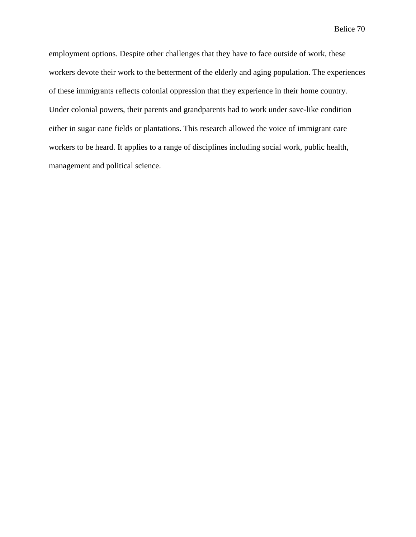employment options. Despite other challenges that they have to face outside of work, these workers devote their work to the betterment of the elderly and aging population. The experiences of these immigrants reflects colonial oppression that they experience in their home country. Under colonial powers, their parents and grandparents had to work under save-like condition either in sugar cane fields or plantations. This research allowed the voice of immigrant care workers to be heard. It applies to a range of disciplines including social work, public health, management and political science.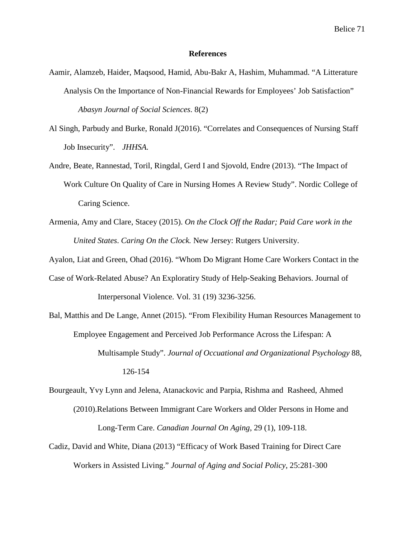### **References**

- Aamir, Alamzeb, Haider, Maqsood, Hamid, Abu-Bakr A, Hashim, Muhammad. "A Litterature Analysis On the Importance of Non-Financial Rewards for Employees' Job Satisfaction" *Abasyn Journal of Social Sciences*. 8(2)
- Al Singh, Parbudy and Burke, Ronald J(2016). "Correlates and Consequences of Nursing Staff Job Insecurity". *JHHSA.*
- Andre, Beate, Rannestad, Toril, Ringdal, Gerd I and Sjovold, Endre (2013). "The Impact of Work Culture On Quality of Care in Nursing Homes A Review Study". Nordic College of Caring Science.
- Armenia, Amy and Clare, Stacey (2015). *On the Clock Off the Radar; Paid Care work in the United States*. *Caring On the Clock.* New Jersey: Rutgers University.

Ayalon, Liat and Green, Ohad (2016). "Whom Do Migrant Home Care Workers Contact in the

- Case of Work-Related Abuse? An Exploratiry Study of Help-Seaking Behaviors. Journal of Interpersonal Violence. Vol. 31 (19) 3236-3256.
- Bal, Matthis and De Lange, Annet (2015). "From Flexibility Human Resources Management to Employee Engagement and Perceived Job Performance Across the Lifespan: A Multisample Study". *Journal of Occuational and Organizational Psychology* 88, 126-154
- Bourgeault, Yvy Lynn and Jelena, Atanackovic and Parpia, Rishma and Rasheed, Ahmed (2010).Relations Between Immigrant Care Workers and Older Persons in Home and Long-Term Care. *Canadian Journal On Aging*, 29 (1), 109-118.
- Cadiz, David and White, Diana (2013) "Efficacy of Work Based Training for Direct Care Workers in Assisted Living." *Journal of Aging and Social Policy*, 25:281-300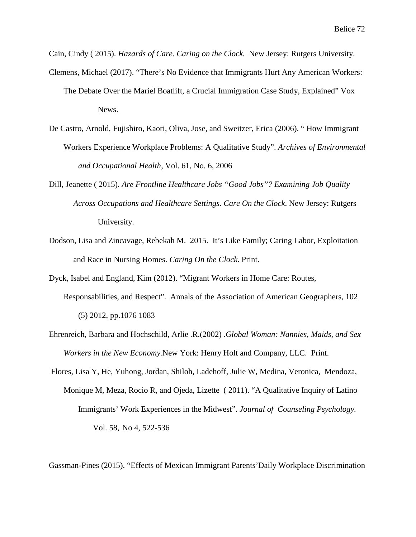Cain, Cindy ( 2015). *Hazards of Care. Caring on the Clock.* New Jersey: Rutgers University.

- Clemens, Michael (2017). "There's No Evidence that Immigrants Hurt Any American Workers:
	- The Debate Over the Mariel Boatlift, a Crucial Immigration Case Study, Explained" Vox News.
- De Castro, Arnold, Fujishiro, Kaori, Oliva, Jose, and Sweitzer, Erica (2006). " How Immigrant Workers Experience Workplace Problems: A Qualitative Study". *Archives of Environmental and Occupational Health*, Vol. 61, No. 6, 2006
- Dill, Jeanette ( 2015)*. Are Frontline Healthcare Jobs "Good Jobs"? Examining Job Quality Across Occupations and Healthcare Settings*. *Care On the Clock*. New Jersey: Rutgers University.
- Dodson, Lisa and Zincavage, Rebekah M. 2015. It's Like Family; Caring Labor, Exploitation and Race in Nursing Homes. *Caring On the Clock*. Print.

Dyck, Isabel and England, Kim (2012). "Migrant Workers in Home Care: Routes, Responsabilities, and Respect". Annals of the Association of American Geographers, 102 (5) 2012, pp.1076 1083

- Ehrenreich, Barbara and Hochschild, Arlie .R.(2002) .*Global Woman: Nannies, Maids, and Sex Workers in the New Economy.*New York: Henry Holt and Company, LLC. Print.
- Flores, Lisa Y, He, Yuhong, Jordan, Shiloh, Ladehoff, Julie W, Medina, Veronica, Mendoza, Monique M, Meza, Rocio R, and Ojeda, Lizette ( 2011). "A Qualitative Inquiry of Latino Immigrants' Work Experiences in the Midwest". *Journal of Counseling Psychology.* Vol. 58, No 4, 522-536

Gassman-Pines (2015). "Effects of Mexican Immigrant Parents'Daily Workplace Discrimination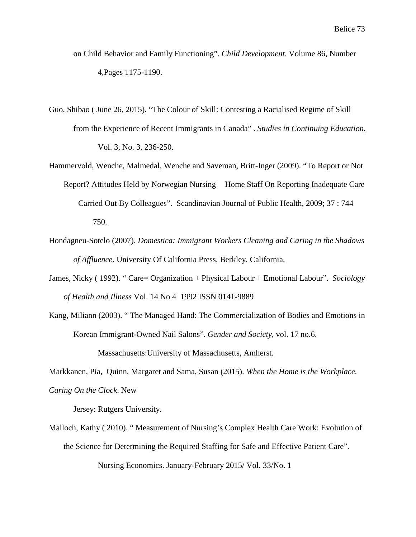- on Child Behavior and Family Functioning". *Child Development*. Volume 86, Number 4,Pages 1175-1190.
- Guo, Shibao ( June 26, 2015). "The Colour of Skill: Contesting a Racialised Regime of Skill from the Experience of Recent Immigrants in Canada" . *Studies in Continuing Education*, Vol. 3, No. 3, 236-250.
- Hammervold, Wenche, Malmedal, Wenche and Saveman, Britt-Inger (2009). "To Report or Not Report? Attitudes Held by Norwegian Nursing Home Staff On Reporting Inadequate Care Carried Out By Colleagues". Scandinavian Journal of Public Health, 2009; 37 : 744 750.
- Hondagneu-Sotelo (2007). *Domestica: Immigrant Workers Cleaning and Caring in the Shadows*

*of Affluence*. University Of California Press, Berkley, California.

- James, Nicky ( 1992). " Care= Organization + Physical Labour + Emotional Labour". *Sociology of Health and Illness* Vol. 14 No 4 1992 ISSN 0141-9889
- Kang, Miliann (2003). " The Managed Hand: The Commercialization of Bodies and Emotions in Korean Immigrant-Owned Nail Salons". *Gender and Society,* vol. 17 no.6. Massachusetts:University of Massachusetts, Amherst.

Markkanen, Pia, Quinn, Margaret and Sama, Susan (2015). *When the Home is the Workplace.*

*Caring On the Clock*. New

Jersey: Rutgers University.

Malloch, Kathy ( 2010). " Measurement of Nursing's Complex Health Care Work: Evolution of the Science for Determining the Required Staffing for Safe and Effective Patient Care".

Nursing Economics. January-February 2015/ Vol. 33/No. 1